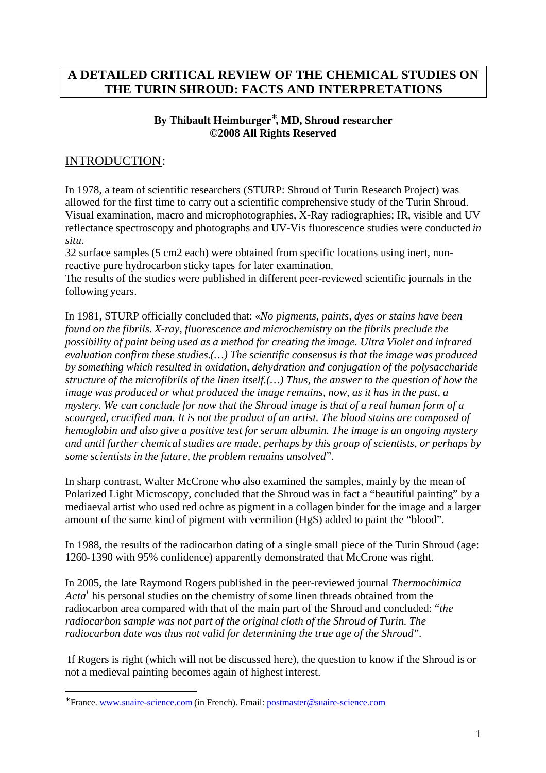# **A DETAILED CRITICAL REVIEW OF THE CHEMICAL STUDIES ON THE TURIN SHROUD: FACTS AND INTERPRETATIONS**

### **By Thibault Heimburger\* , MD, Shroud researcher ©2008 All Rights Reserved**

# INTRODUCTION:

l

In 1978, a team of scientific researchers (STURP: Shroud of Turin Research Project) was allowed for the first time to carry out a scientific comprehensive study of the Turin Shroud. Visual examination, macro and microphotographies, X-Ray radiographies; IR, visible and UV reflectance spectroscopy and photographs and UV-Vis fluorescence studies were conducted *in situ*.

32 surface samples (5 cm2 each) were obtained from specific locations using inert, nonreactive pure hydrocarbon sticky tapes for later examination.

The results of the studies were published in different peer-reviewed scientific journals in the following years.

In 1981, STURP officially concluded that: «*No pigments, paints, dyes or stains have been found on the fibrils. X-ray, fluorescence and microchemistry on the fibrils preclude the possibility of paint being used as a method for creating the image. Ultra Violet and infrared evaluation confirm these studies.(…) The scientific consensus is that the image was produced by something which resulted in oxidation, dehydration and conjugation of the polysaccharide structure of the microfibrils of the linen itself.(…) Thus, the answer to the question of how the image was produced or what produced the image remains, now, as it has in the past, a mystery. We can conclude for now that the Shroud image is that of a real human form of a scourged, crucified man. It is not the product of an artist. The blood stains are composed of hemoglobin and also give a positive test for serum albumin. The image is an ongoing mystery and until further chemical studies are made, perhaps by this group of scientists, or perhaps by some scientists in the future, the problem remains unsolved*".

In sharp contrast, Walter McCrone who also examined the samples, mainly by the mean of Polarized Light Microscopy, concluded that the Shroud was in fact a "beautiful painting" by a mediaeval artist who used red ochre as pigment in a collagen binder for the image and a larger amount of the same kind of pigment with vermilion (HgS) added to paint the "blood".

In 1988, the results of the radiocarbon dating of a single small piece of the Turin Shroud (age: 1260-1390 with 95% confidence) apparently demonstrated that McCrone was right.

In 2005, the late Raymond Rogers published in the peer-reviewed journal *Thermochimica*  Acta<sup>*l*</sup> his personal studies on the chemistry of some linen threads obtained from the radiocarbon area compared with that of the main part of the Shroud and concluded: "*the*  radiocarbon sample was not part of the original cloth of the Shroud of Turin. The *radiocarbon date was thus not valid for determining the true age of the Shroud*".

 If Rogers is right (which will not be discussed here), the question to know if the Shroud is or not a medieval painting becomes again of highest interest.

<sup>∗</sup> France. www.suaire-science.com (in French). Email: postmaster@suaire-science.com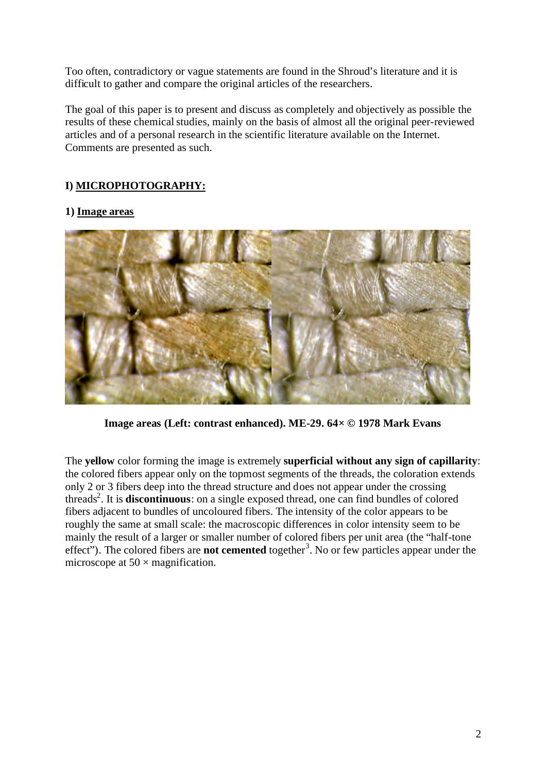Too often, contradictory or vague statements are found in the Shroud's literature and it is difficult to gather and compare the original articles of the researchers.

The goal of this paper is to present and discuss as completely and objectively as possible the results of these chemical studies, mainly on the basis of almost all the original peer-reviewed articles and of a personal research in the scientific literature available on the Internet. Comments are presented as such.

# **I) MICROPHOTOGRAPHY:**

### **1) Image areas**



**Image areas (Left: contrast enhanced). ME-29. 64× © 1978 Mark Evans**

The **yellow** color forming the image is extremely **superficial without any sign of capillarity**: the colored fibers appear only on the topmost segments of the threads, the coloration extends only 2 or 3 fibers deep into the thread structure and does not appear under the crossing threads<sup>2</sup>. It is **discontinuous**: on a single exposed thread, one can find bundles of colored fibers adjacent to bundles of uncoloured fibers. The intensity of the color appears to be roughly the same at small scale: the macroscopic differences in color intensity seem to be mainly the result of a larger or smaller number of colored fibers per unit area (the "half-tone effect"). The colored fibers are **not cemented** together<sup>3</sup>. No or few particles appear under the microscope at  $50 \times$  magnification.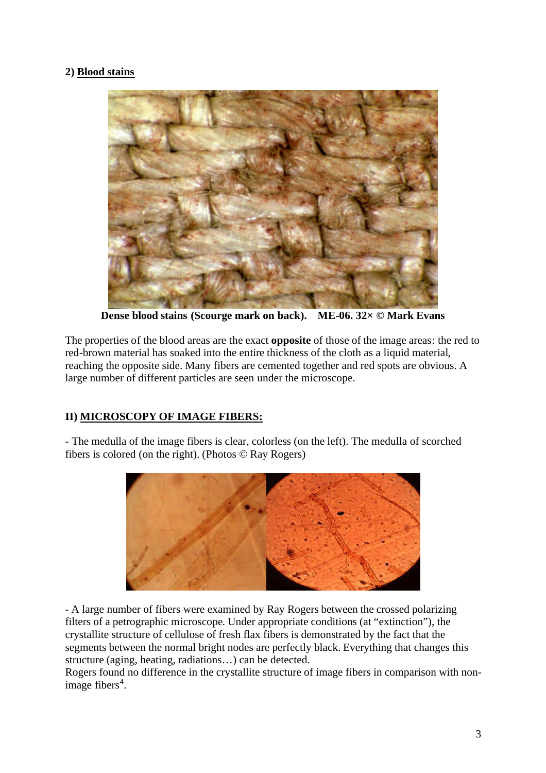### **2) Blood stains**



**Dense blood stains (Scourge mark on back). ME-06. 32× © Mark Evans**

The properties of the blood areas are the exact **opposite** of those of the image areas: the red to red-brown material has soaked into the entire thickness of the cloth as a liquid material, reaching the opposite side. Many fibers are cemented together and red spots are obvious. A large number of different particles are seen under the microscope.

## **II) MICROSCOPY OF IMAGE FIBERS:**

- The medulla of the image fibers is clear, colorless (on the left). The medulla of scorched fibers is colored (on the right). (Photos © Ray Rogers)



- A large number of fibers were examined by Ray Rogers between the crossed polarizing filters of a petrographic microscope. Under appropriate conditions (at "extinction"), the crystallite structure of cellulose of fresh flax fibers is demonstrated by the fact that the segments between the normal bright nodes are perfectly black. Everything that changes this structure (aging, heating, radiations…) can be detected.

Rogers found no difference in the crystallite structure of image fibers in comparison with nonimage fibers<sup>4</sup>.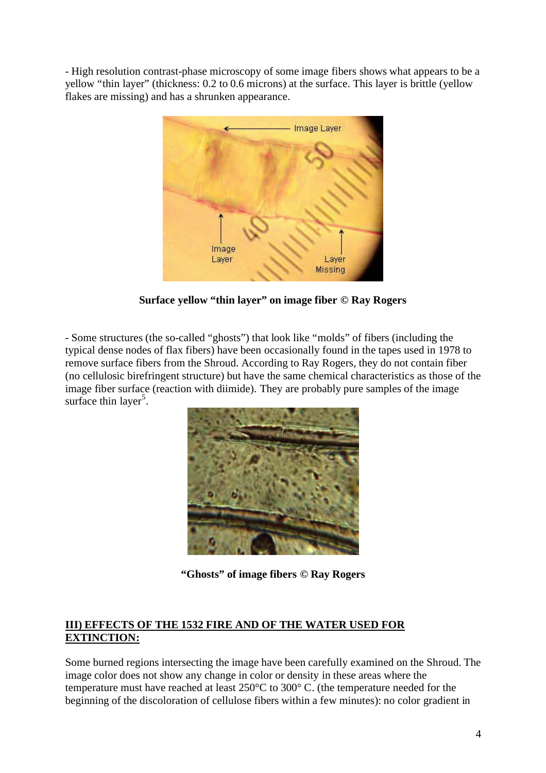- High resolution contrast-phase microscopy of some image fibers shows what appears to be a yellow "thin layer" (thickness: 0.2 to 0.6 microns) at the surface. This layer is brittle (yellow flakes are missing) and has a shrunken appearance.



**Surface yellow "thin layer" on image fiber © Ray Rogers**

- Some structures (the so-called "ghosts") that look like "molds" of fibers (including the typical dense nodes of flax fibers) have been occasionally found in the tapes used in 1978 to remove surface fibers from the Shroud. According to Ray Rogers, they do not contain fiber (no cellulosic birefringent structure) but have the same chemical characteristics as those of the image fiber surface (reaction with diimide). They are probably pure samples of the image surface thin layer<sup>5</sup>.



**"Ghosts" of image fibers © Ray Rogers**

# **III) EFFECTS OF THE 1532 FIRE AND OF THE WATER USED FOR EXTINCTION:**

Some burned regions intersecting the image have been carefully examined on the Shroud. The image color does not show any change in color or density in these areas where the temperature must have reached at least 250°C to 300° C. (the temperature needed for the beginning of the discoloration of cellulose fibers within a few minutes): no color gradient in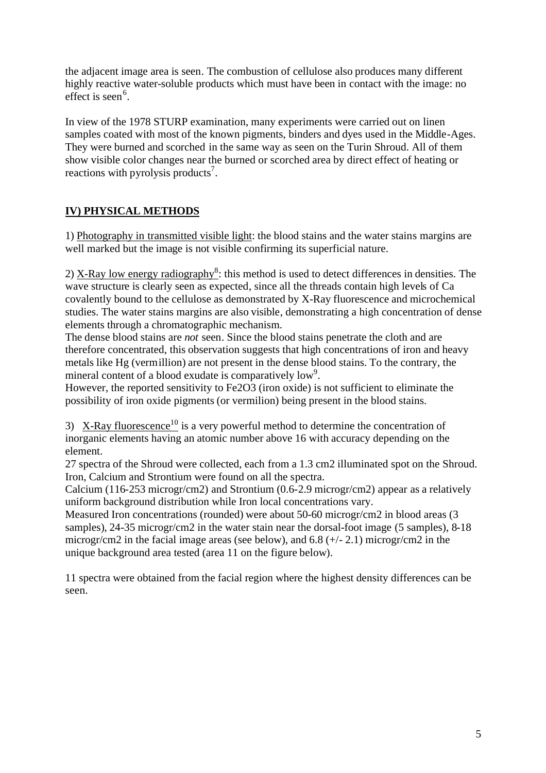the adjacent image area is seen. The combustion of cellulose also produces many different highly reactive water-soluble products which must have been in contact with the image: no effect is seen<sup>6</sup>.

In view of the 1978 STURP examination, many experiments were carried out on linen samples coated with most of the known pigments, binders and dyes used in the Middle-Ages. They were burned and scorched in the same way as seen on the Turin Shroud. All of them show visible color changes near the burned or scorched area by direct effect of heating or reactions with pyrolysis products<sup>7</sup>.

# **IV) PHYSICAL METHODS**

1) Photography in transmitted visible light: the blood stains and the water stains margins are well marked but the image is not visible confirming its superficial nature.

2)  $X-Ray$  low energy radiography<sup>8</sup>: this method is used to detect differences in densities. The wave structure is clearly seen as expected, since all the threads contain high levels of Ca covalently bound to the cellulose as demonstrated by X-Ray fluorescence and microchemical studies. The water stains margins are also visible, demonstrating a high concentration of dense elements through a chromatographic mechanism.

The dense blood stains are *not* seen. Since the blood stains penetrate the cloth and are therefore concentrated, this observation suggests that high concentrations of iron and heavy metals like Hg (vermillion) are not present in the dense blood stains. To the contrary, the mineral content of a blood exudate is comparatively  $\text{low}^9$ .

However, the reported sensitivity to Fe2O3 (iron oxide) is not sufficient to eliminate the possibility of iron oxide pigments (or vermilion) being present in the blood stains.

3) X-Ray fluorescence<sup>10</sup> is a very powerful method to determine the concentration of inorganic elements having an atomic number above 16 with accuracy depending on the element.

27 spectra of the Shroud were collected, each from a 1.3 cm2 illuminated spot on the Shroud. Iron, Calcium and Strontium were found on all the spectra.

Calcium (116-253 microgr/cm2) and Strontium (0.6-2.9 microgr/cm2) appear as a relatively uniform background distribution while Iron local concentrations vary.

Measured Iron concentrations (rounded) were about 50-60 microgr/cm2 in blood areas (3 samples), 24-35 microgr/cm2 in the water stain near the dorsal-foot image (5 samples), 8-18 microgr/cm2 in the facial image areas (see below), and  $6.8$  (+/- 2.1) microgr/cm2 in the unique background area tested (area 11 on the figure below).

11 spectra were obtained from the facial region where the highest density differences can be seen.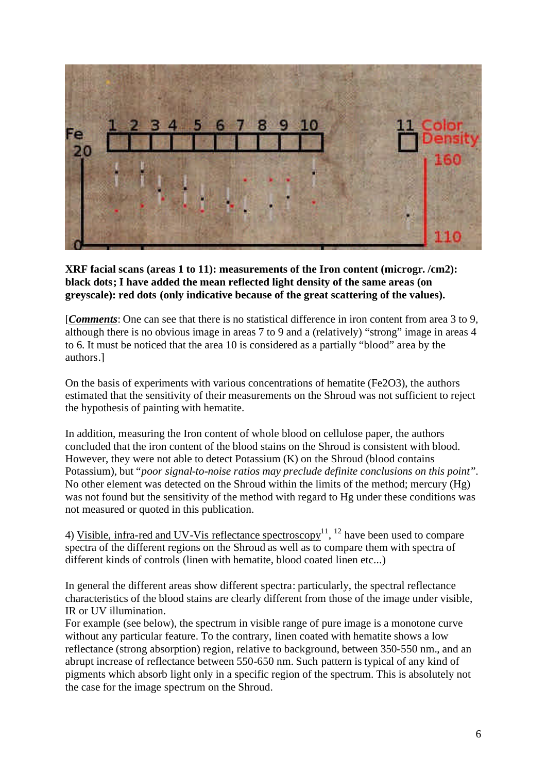

### **XRF facial scans (areas 1 to 11): measurements of the Iron content (microgr. /cm2): black dots; I have added the mean reflected light density of the same areas (on greyscale): red dots (only indicative because of the great scattering of the values).**

[*Comments*: One can see that there is no statistical difference in iron content from area 3 to 9, although there is no obvious image in areas 7 to 9 and a (relatively) "strong" image in areas 4 to 6. It must be noticed that the area 10 is considered as a partially "blood" area by the authors.]

On the basis of experiments with various concentrations of hematite (Fe2O3), the authors estimated that the sensitivity of their measurements on the Shroud was not sufficient to reject the hypothesis of painting with hematite.

In addition, measuring the Iron content of whole blood on cellulose paper, the authors concluded that the iron content of the blood stains on the Shroud is consistent with blood. However, they were not able to detect Potassium (K) on the Shroud (blood contains Potassium), but "*poor signal-to-noise ratios may preclude definite conclusions on this point*". No other element was detected on the Shroud within the limits of the method; mercury (Hg) was not found but the sensitivity of the method with regard to Hg under these conditions was not measured or quoted in this publication.

4) Visible, infra-red and UV-Vis reflectance spectroscopy<sup>11</sup>, <sup>12</sup> have been used to compare spectra of the different regions on the Shroud as well as to compare them with spectra of different kinds of controls (linen with hematite, blood coated linen etc...)

In general the different areas show different spectra: particularly, the spectral reflectance characteristics of the blood stains are clearly different from those of the image under visible, IR or UV illumination.

For example (see below), the spectrum in visible range of pure image is a monotone curve without any particular feature. To the contrary, linen coated with hematite shows a low reflectance (strong absorption) region, relative to background, between 350-550 nm., and an abrupt increase of reflectance between 550-650 nm. Such pattern is typical of any kind of pigments which absorb light only in a specific region of the spectrum. This is absolutely not the case for the image spectrum on the Shroud.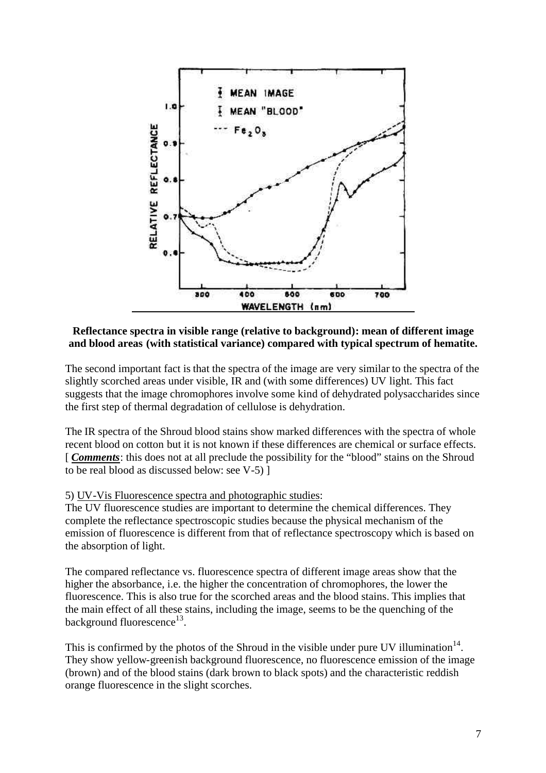

#### **Reflectance spectra in visible range (relative to background): mean of different image and blood areas (with statistical variance) compared with typical spectrum of hematite.**

The second important fact is that the spectra of the image are very similar to the spectra of the slightly scorched areas under visible, IR and (with some differences) UV light. This fact suggests that the image chromophores involve some kind of dehydrated polysaccharides since the first step of thermal degradation of cellulose is dehydration.

The IR spectra of the Shroud blood stains show marked differences with the spectra of whole recent blood on cotton but it is not known if these differences are chemical or surface effects. [*Comments*: this does not at all preclude the possibility for the "blood" stains on the Shroud to be real blood as discussed below: see V-5) ]

#### 5) UV-Vis Fluorescence spectra and photographic studies:

The UV fluorescence studies are important to determine the chemical differences. They complete the reflectance spectroscopic studies because the physical mechanism of the emission of fluorescence is different from that of reflectance spectroscopy which is based on the absorption of light.

The compared reflectance vs. fluorescence spectra of different image areas show that the higher the absorbance, i.e. the higher the concentration of chromophores, the lower the fluorescence. This is also true for the scorched areas and the blood stains. This implies that the main effect of all these stains, including the image, seems to be the quenching of the background fluorescence<sup>13</sup>.

This is confirmed by the photos of the Shroud in the visible under pure UV illumination<sup>14</sup>. They show yellow-greenish background fluorescence, no fluorescence emission of the image (brown) and of the blood stains (dark brown to black spots) and the characteristic reddish orange fluorescence in the slight scorches.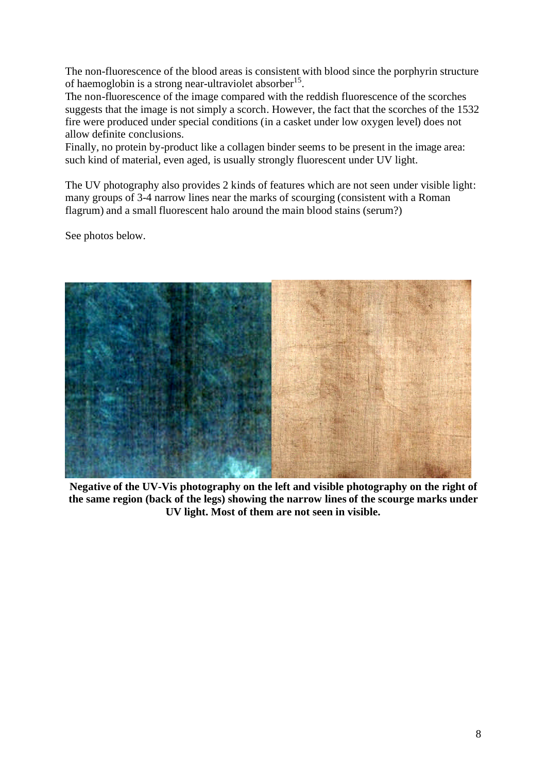The non-fluorescence of the blood areas is consistent with blood since the porphyrin structure of haemoglobin is a strong near-ultraviolet absorber<sup>15</sup>.

The non-fluorescence of the image compared with the reddish fluorescence of the scorches suggests that the image is not simply a scorch. However, the fact that the scorches of the 1532 fire were produced under special conditions (in a casket under low oxygen level) does not allow definite conclusions.

Finally, no protein by-product like a collagen binder seems to be present in the image area: such kind of material, even aged, is usually strongly fluorescent under UV light.

The UV photography also provides 2 kinds of features which are not seen under visible light: many groups of 3-4 narrow lines near the marks of scourging (consistent with a Roman flagrum) and a small fluorescent halo around the main blood stains (serum?)

See photos below.



**Negative of the UV-Vis photography on the left and visible photography on the right of the same region (back of the legs) showing the narrow lines of the scourge marks under UV light. Most of them are not seen in visible.**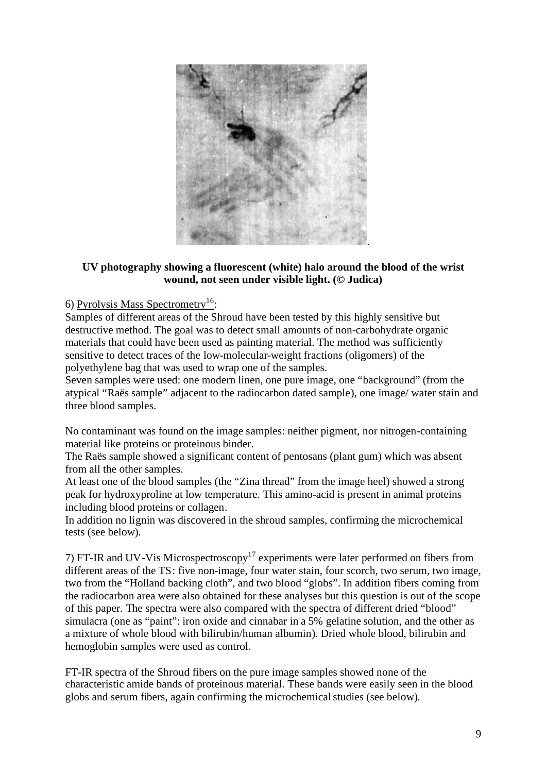

### **UV photography showing a fluorescent (white) halo around the blood of the wrist wound, not seen under visible light. (© Judica)**

6) Pyrolysis Mass Spectrometry<sup>16</sup>:

Samples of different areas of the Shroud have been tested by this highly sensitive but destructive method. The goal was to detect small amounts of non-carbohydrate organic materials that could have been used as painting material. The method was sufficiently sensitive to detect traces of the low-molecular-weight fractions (oligomers) of the polyethylene bag that was used to wrap one of the samples.

Seven samples were used: one modern linen, one pure image, one "background" (from the atypical "Raës sample" adjacent to the radiocarbon dated sample), one image/ water stain and three blood samples.

No contaminant was found on the image samples: neither pigment, nor nitrogen-containing material like proteins or proteinous binder.

The Raës sample showed a significant content of pentosans (plant gum) which was absent from all the other samples.

At least one of the blood samples (the "Zina thread" from the image heel) showed a strong peak for hydroxyproline at low temperature. This amino-acid is present in animal proteins including blood proteins or collagen.

In addition no lignin was discovered in the shroud samples, confirming the microchemical tests (see below).

7) FT-IR and UV-Vis Microspectroscopy<sup>17</sup> experiments were later performed on fibers from different areas of the TS: five non-image, four water stain, four scorch, two serum, two image, two from the "Holland backing cloth", and two blood "globs". In addition fibers coming from the radiocarbon area were also obtained for these analyses but this question is out of the scope of this paper. The spectra were also compared with the spectra of different dried "blood" simulacra (one as "paint": iron oxide and cinnabar in a 5% gelatine solution, and the other as a mixture of whole blood with bilirubin/human albumin). Dried whole blood, bilirubin and hemoglobin samples were used as control.

FT-IR spectra of the Shroud fibers on the pure image samples showed none of the characteristic amide bands of proteinous material. These bands were easily seen in the blood globs and serum fibers, again confirming the microchemical studies (see below).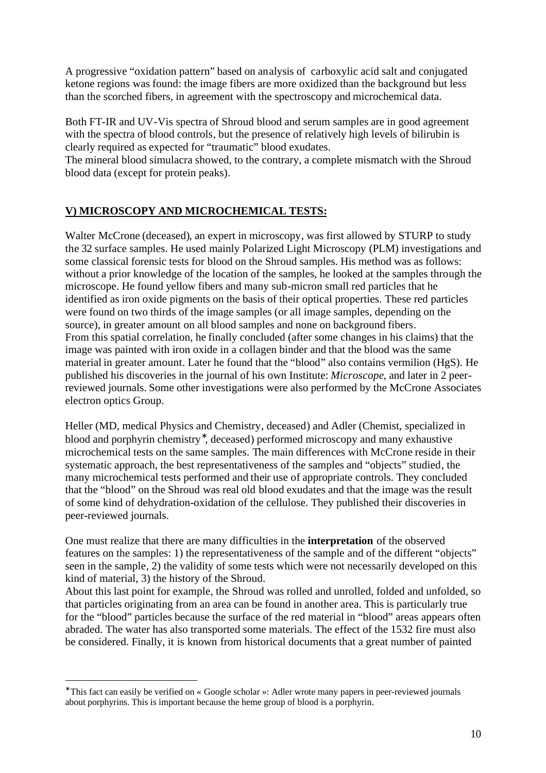A progressive "oxidation pattern" based on analysis of carboxylic acid salt and conjugated ketone regions was found: the image fibers are more oxidized than the background but less than the scorched fibers, in agreement with the spectroscopy and microchemical data.

Both FT-IR and UV-Vis spectra of Shroud blood and serum samples are in good agreement with the spectra of blood controls, but the presence of relatively high levels of bilirubin is clearly required as expected for "traumatic" blood exudates.

The mineral blood simulacra showed, to the contrary, a complete mismatch with the Shroud blood data (except for protein peaks).

## **V) MICROSCOPY AND MICROCHEMICAL TESTS:**

Walter McCrone (deceased), an expert in microscopy, was first allowed by STURP to study the 32 surface samples. He used mainly Polarized Light Microscopy (PLM) investigations and some classical forensic tests for blood on the Shroud samples. His method was as follows: without a prior knowledge of the location of the samples, he looked at the samples through the microscope. He found yellow fibers and many sub-micron small red particles that he identified as iron oxide pigments on the basis of their optical properties. These red particles were found on two thirds of the image samples (or all image samples, depending on the source), in greater amount on all blood samples and none on background fibers. From this spatial correlation, he finally concluded (after some changes in his claims) that the image was painted with iron oxide in a collagen binder and that the blood was the same material in greater amount. Later he found that the "blood" also contains vermilion (HgS). He published his discoveries in the journal of his own Institute: *Microscope*, and later in 2 peerreviewed journals. Some other investigations were also performed by the McCrone Associates electron optics Group.

Heller (MD, medical Physics and Chemistry, deceased) and Adler (Chemist, specialized in blood and porphyrin chemistry<sup>∗</sup> , deceased) performed microscopy and many exhaustive microchemical tests on the same samples. The main differences with McCrone reside in their systematic approach, the best representativeness of the samples and "objects" studied, the many microchemical tests performed and their use of appropriate controls. They concluded that the "blood" on the Shroud was real old blood exudates and that the image was the result of some kind of dehydration-oxidation of the cellulose. They published their discoveries in peer-reviewed journals.

One must realize that there are many difficulties in the **interpretation** of the observed features on the samples: 1) the representativeness of the sample and of the different "objects" seen in the sample, 2) the validity of some tests which were not necessarily developed on this kind of material, 3) the history of the Shroud.

About this last point for example, the Shroud was rolled and unrolled, folded and unfolded, so that particles originating from an area can be found in another area. This is particularly true for the "blood" particles because the surface of the red material in "blood" areas appears often abraded. The water has also transported some materials. The effect of the 1532 fire must also be considered. Finally, it is known from historical documents that a great number of painted

 $\overline{a}$ 

<sup>∗</sup> This fact can easily be verified on « Google scholar »: Adler wrote many papers in peer-reviewed journals about porphyrins. This is important because the heme group of blood is a porphyrin.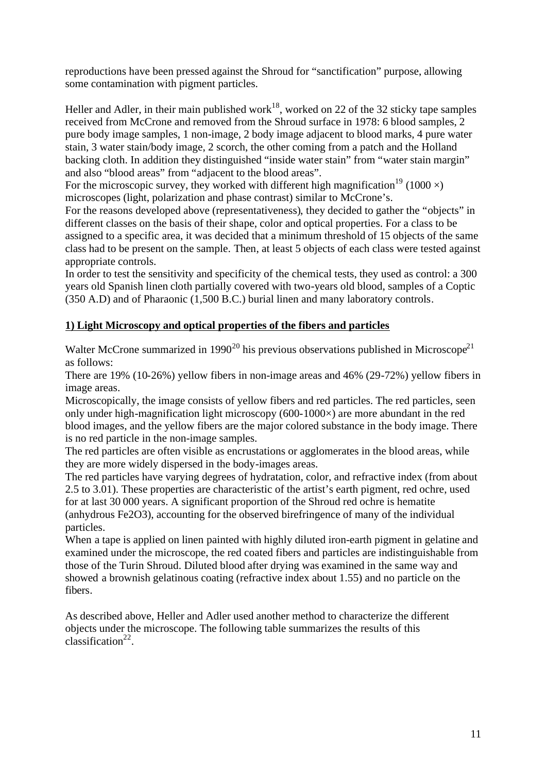reproductions have been pressed against the Shroud for "sanctification" purpose, allowing some contamination with pigment particles.

Heller and Adler, in their main published work<sup>18</sup>, worked on 22 of the 32 sticky tape samples received from McCrone and removed from the Shroud surface in 1978: 6 blood samples, 2 pure body image samples, 1 non-image, 2 body image adjacent to blood marks, 4 pure water stain, 3 water stain/body image, 2 scorch, the other coming from a patch and the Holland backing cloth. In addition they distinguished "inside water stain" from "water stain margin" and also "blood areas" from "adjacent to the blood areas".

For the microscopic survey, they worked with different high magnification<sup>19</sup> (1000  $\times$ ) microscopes (light, polarization and phase contrast) similar to McCrone's.

For the reasons developed above (representativeness), they decided to gather the "objects" in different classes on the basis of their shape, color and optical properties. For a class to be assigned to a specific area, it was decided that a minimum threshold of 15 objects of the same class had to be present on the sample. Then, at least 5 objects of each class were tested against appropriate controls.

In order to test the sensitivity and specificity of the chemical tests, they used as control: a 300 years old Spanish linen cloth partially covered with two-years old blood, samples of a Coptic (350 A.D) and of Pharaonic (1,500 B.C.) burial linen and many laboratory controls.

## **1) Light Microscopy and optical properties of the fibers and particles**

Walter McCrone summarized in 1990<sup>20</sup> his previous observations published in Microscope<sup>21</sup> as follows:

There are 19% (10-26%) yellow fibers in non-image areas and 46% (29-72%) yellow fibers in image areas.

Microscopically, the image consists of yellow fibers and red particles. The red particles, seen only under high-magnification light microscopy (600-1000×) are more abundant in the red blood images, and the yellow fibers are the major colored substance in the body image. There is no red particle in the non-image samples.

The red particles are often visible as encrustations or agglomerates in the blood areas, while they are more widely dispersed in the body-images areas.

The red particles have varying degrees of hydratation, color, and refractive index (from about 2.5 to 3.01). These properties are characteristic of the artist's earth pigment, red ochre, used for at last 30 000 years. A significant proportion of the Shroud red ochre is hematite (anhydrous Fe2O3), accounting for the observed birefringence of many of the individual particles.

When a tape is applied on linen painted with highly diluted iron-earth pigment in gelatine and examined under the microscope, the red coated fibers and particles are indistinguishable from those of the Turin Shroud. Diluted blood after drying was examined in the same way and showed a brownish gelatinous coating (refractive index about 1.55) and no particle on the fibers.

As described above, Heller and Adler used another method to characterize the different objects under the microscope. The following table summarizes the results of this classification<sup>22</sup>.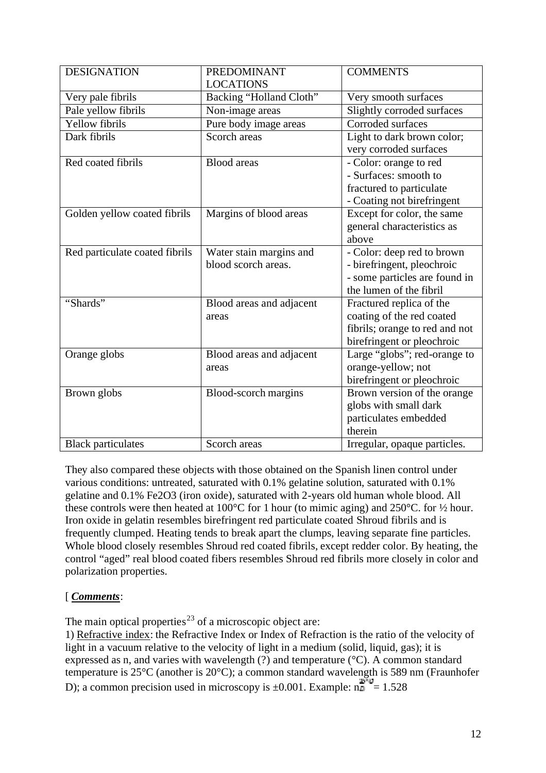| <b>DESIGNATION</b>                       | PREDOMINANT<br><b>LOCATIONS</b>                | <b>COMMENTS</b>                                                                                                          |
|------------------------------------------|------------------------------------------------|--------------------------------------------------------------------------------------------------------------------------|
| Very pale fibrils                        | Backing "Holland Cloth"                        | Very smooth surfaces                                                                                                     |
| Pale yellow fibrils                      | Non-image areas                                | Slightly corroded surfaces                                                                                               |
| Yellow fibrils                           | Pure body image areas                          | Corroded surfaces                                                                                                        |
| Dark fibrils                             | Scorch areas                                   | Light to dark brown color;<br>very corroded surfaces                                                                     |
| Red coated fibrils                       | <b>Blood</b> areas                             | - Color: orange to red<br>- Surfaces: smooth to<br>fractured to particulate<br>- Coating not birefringent                |
| Golden yellow coated fibrils             | Margins of blood areas                         | Except for color, the same<br>general characteristics as<br>above                                                        |
| Red particulate coated fibrils           | Water stain margins and<br>blood scorch areas. | - Color: deep red to brown<br>- birefringent, pleochroic<br>- some particles are found in<br>the lumen of the fibril     |
| "Shards"                                 | Blood areas and adjacent<br>areas              | Fractured replica of the<br>coating of the red coated<br>fibrils; orange to red and not<br>birefringent or pleochroic    |
| Orange globs                             | Blood areas and adjacent<br>areas              | Large "globs"; red-orange to<br>orange-yellow; not<br>birefringent or pleochroic                                         |
| Brown globs<br><b>Black particulates</b> | Blood-scorch margins<br>Scorch areas           | Brown version of the orange<br>globs with small dark<br>particulates embedded<br>therein<br>Irregular, opaque particles. |
|                                          |                                                |                                                                                                                          |

They also compared these objects with those obtained on the Spanish linen control under various conditions: untreated, saturated with 0.1% gelatine solution, saturated with 0.1% gelatine and 0.1% Fe2O3 (iron oxide), saturated with 2-years old human whole blood. All these controls were then heated at 100 $^{\circ}$ C for 1 hour (to mimic aging) and 250 $^{\circ}$ C. for  $\frac{1}{2}$  hour. Iron oxide in gelatin resembles birefringent red particulate coated Shroud fibrils and is frequently clumped. Heating tends to break apart the clumps, leaving separate fine particles. Whole blood closely resembles Shroud red coated fibrils, except redder color. By heating, the control "aged" real blood coated fibers resembles Shroud red fibrils more closely in color and polarization properties.

## [ *Comments*:

The main optical properties<sup>23</sup> of a microscopic object are:

1) Refractive index: the Refractive Index or Index of Refraction is the ratio of the velocity of light in a vacuum relative to the velocity of light in a medium (solid, liquid, gas); it is expressed as n, and varies with wavelength (?) and temperature (°C). A common standard temperature is 25°C (another is 20°C); a common standard wavelength is 589 nm (Fraunhofer D); a common precision used in microscopy is  $\pm 0.001$ . Example:  $n = 1.528$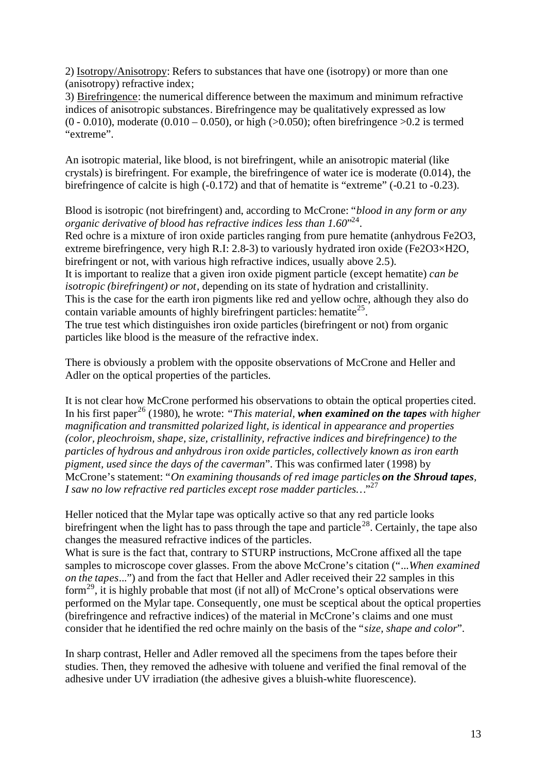2) Isotropy/Anisotropy: Refers to substances that have one (isotropy) or more than one (anisotropy) refractive index;

3) Birefringence: the numerical difference between the maximum and minimum refractive indices of anisotropic substances. Birefringence may be qualitatively expressed as low  $(0 - 0.010)$ , moderate  $(0.010 - 0.050)$ , or high  $(>0.050)$ ; often birefringence  $>0.2$  is termed "extreme".

An isotropic material, like blood, is not birefringent, while an anisotropic material (like crystals) is birefringent. For example, the birefringence of water ice is moderate (0.014), the birefringence of calcite is high (-0.172) and that of hematite is "extreme" (-0.21 to -0.23).

Blood is isotropic (not birefringent) and, according to McCrone: "*blood in any form or any organic derivative of blood has refractive indices less than 1.60*" 24 . Red ochre is a mixture of iron oxide particles ranging from pure hematite (anhydrous Fe2O3, extreme birefringence, very high R.I: 2.8-3) to variously hydrated iron oxide (Fe2O3×H2O, birefringent or not, with various high refractive indices, usually above 2.5). It is important to realize that a given iron oxide pigment particle (except hematite) *can be isotropic (birefringent) or not*, depending on its state of hydration and cristallinity. This is the case for the earth iron pigments like red and yellow ochre, although they also do contain variable amounts of highly birefringent particles: hematite<sup>25</sup>. The true test which distinguishes iron oxide particles (birefringent or not) from organic particles like blood is the measure of the refractive index.

There is obviously a problem with the opposite observations of McCrone and Heller and Adler on the optical properties of the particles.

It is not clear how McCrone performed his observations to obtain the optical properties cited. In his first paper<sup>26</sup> (1980), he wrote: *"This material, when examined on the tapes* with higher *magnification and transmitted polarized light, is identical in appearance and properties (color, pleochroism, shape, size, cristallinity, refractive indices and birefringence) to the particles of hydrous and anhydrous iron oxide particles, collectively known as iron earth pigment, used since the days of the caverman*". This was confirmed later (1998) by McCrone's statement: "*On examining thousands of red image particles on the Shroud tapes, I saw no low refractive red particles except rose madder particles…*" 27

Heller noticed that the Mylar tape was optically active so that any red particle looks birefringent when the light has to pass through the tape and particle<sup>28</sup>. Certainly, the tape also changes the measured refractive indices of the particles.

What is sure is the fact that, contrary to STURP instructions, McCrone affixed all the tape samples to microscope cover glasses. From the above McCrone's citation ("...*When examined on the tapes*...") and from the fact that Heller and Adler received their 22 samples in this form<sup>29</sup>, it is highly probable that most (if not all) of McCrone's optical observations were performed on the Mylar tape. Consequently, one must be sceptical about the optical properties (birefringence and refractive indices) of the material in McCrone's claims and one must consider that he identified the red ochre mainly on the basis of the "*size, shape and color*".

In sharp contrast, Heller and Adler removed all the specimens from the tapes before their studies. Then, they removed the adhesive with toluene and verified the final removal of the adhesive under UV irradiation (the adhesive gives a bluish-white fluorescence).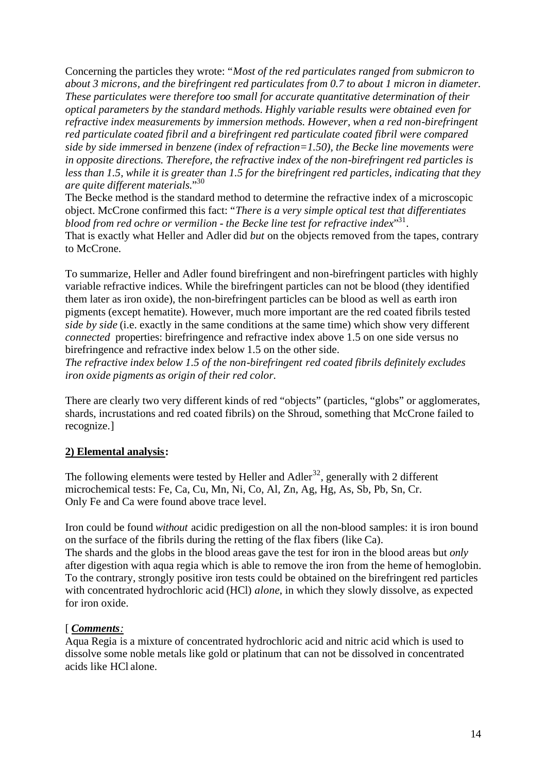Concerning the particles they wrote: "*Most of the red particulates ranged from submicron to about 3 microns, and the birefringent red particulates from 0.7 to about 1 micron in diameter. These particulates were therefore too small for accurate quantitative determination of their optical parameters by the standard methods. Highly variable results were obtained even for refractive index measurements by immersion methods. However, when a red non-birefringent red particulate coated fibril and a birefringent red particulate coated fibril were compared side by side immersed in benzene (index of refraction=1.50), the Becke line movements were in opposite directions. Therefore, the refractive index of the non-birefringent red particles is less than 1.5, while it is greater than 1.5 for the birefringent red particles, indicating that they are quite different materials.*" 30

The Becke method is the standard method to determine the refractive index of a microscopic object. McCrone confirmed this fact: "*There is a very simple optical test that differentiates blood from red ochre or vermilion - the Becke line test for refractive index*" 31 . That is exactly what Heller and Adler did *but* on the objects removed from the tapes, contrary to McCrone.

To summarize, Heller and Adler found birefringent and non-birefringent particles with highly variable refractive indices. While the birefringent particles can not be blood (they identified them later as iron oxide), the non-birefringent particles can be blood as well as earth iron pigments (except hematite). However, much more important are the red coated fibrils tested *side by side* (i.e. exactly in the same conditions at the same time) which show very different *connected* properties: birefringence and refractive index above 1.5 on one side versus no birefringence and refractive index below 1.5 on the other side.

*The refractive index below 1.5 of the non-birefringent red coated fibrils definitely excludes iron oxide pigments as origin of their red color.*

There are clearly two very different kinds of red "objects" (particles, "globs" or agglomerates, shards, incrustations and red coated fibrils) on the Shroud, something that McCrone failed to recognize.]

#### **2) Elemental analysis:**

The following elements were tested by Heller and Adler<sup>32</sup>, generally with 2 different microchemical tests: Fe, Ca, Cu, Mn, Ni, Co, Al, Zn, Ag, Hg, As, Sb, Pb, Sn, Cr. Only Fe and Ca were found above trace level.

Iron could be found *without* acidic predigestion on all the non-blood samples: it is iron bound on the surface of the fibrils during the retting of the flax fibers (like Ca).

The shards and the globs in the blood areas gave the test for iron in the blood areas but *only* after digestion with aqua regia which is able to remove the iron from the heme of hemoglobin. To the contrary, strongly positive iron tests could be obtained on the birefringent red particles with concentrated hydrochloric acid (HCl) *alone*, in which they slowly dissolve, as expected for iron oxide.

#### [ *Comments:*

Aqua Regia is a mixture of concentrated hydrochloric acid and nitric acid which is used to dissolve some noble metals like gold or platinum that can not be dissolved in concentrated acids like HCl alone.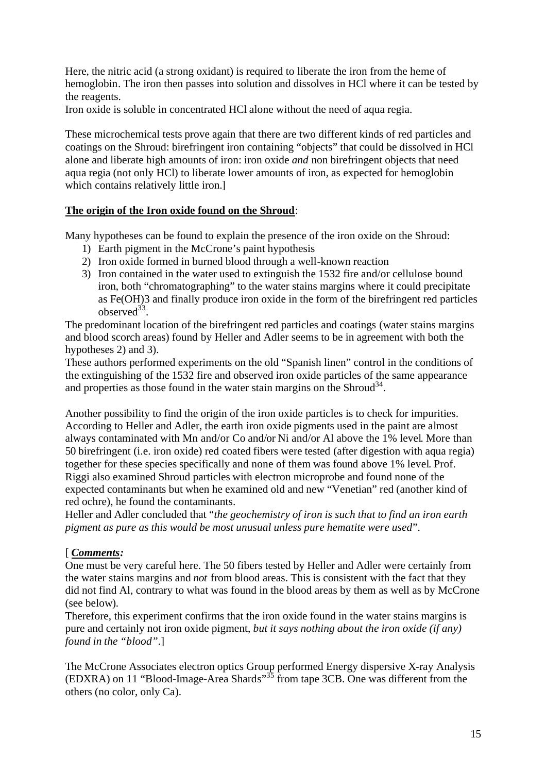Here, the nitric acid (a strong oxidant) is required to liberate the iron from the heme of hemoglobin. The iron then passes into solution and dissolves in HCl where it can be tested by the reagents.

Iron oxide is soluble in concentrated HCl alone without the need of aqua regia.

These microchemical tests prove again that there are two different kinds of red particles and coatings on the Shroud: birefringent iron containing "objects" that could be dissolved in HCl alone and liberate high amounts of iron: iron oxide *and* non birefringent objects that need aqua regia (not only HCl) to liberate lower amounts of iron, as expected for hemoglobin which contains relatively little iron.]

#### **The origin of the Iron oxide found on the Shroud**:

Many hypotheses can be found to explain the presence of the iron oxide on the Shroud:

- 1) Earth pigment in the McCrone's paint hypothesis
- 2) Iron oxide formed in burned blood through a well-known reaction
- 3) Iron contained in the water used to extinguish the 1532 fire and/or cellulose bound iron, both "chromatographing" to the water stains margins where it could precipitate as Fe(OH)3 and finally produce iron oxide in the form of the birefringent red particles observed $^{33}$ .

The predominant location of the birefringent red particles and coatings (water stains margins and blood scorch areas) found by Heller and Adler seems to be in agreement with both the hypotheses 2) and 3).

These authors performed experiments on the old "Spanish linen" control in the conditions of the extinguishing of the 1532 fire and observed iron oxide particles of the same appearance and properties as those found in the water stain margins on the Shroud<sup>34</sup>.

Another possibility to find the origin of the iron oxide particles is to check for impurities. According to Heller and Adler, the earth iron oxide pigments used in the paint are almost always contaminated with Mn and/or Co and/or Ni and/or Al above the 1% level. More than 50 birefringent (i.e. iron oxide) red coated fibers were tested (after digestion with aqua regia) together for these species specifically and none of them was found above 1% level. Prof. Riggi also examined Shroud particles with electron microprobe and found none of the expected contaminants but when he examined old and new "Venetian" red (another kind of red ochre), he found the contaminants.

Heller and Adler concluded that "*the geochemistry of iron is such that to find an iron earth pigment as pure as this would be most unusual unless pure hematite were used*".

## [ *Comments:*

One must be very careful here. The 50 fibers tested by Heller and Adler were certainly from the water stains margins and *not* from blood areas. This is consistent with the fact that they did not find Al, contrary to what was found in the blood areas by them as well as by McCrone (see below).

Therefore, this experiment confirms that the iron oxide found in the water stains margins is pure and certainly not iron oxide pigment, *but it says nothing about the iron oxide (if any) found in the "blood"*.]

The McCrone Associates electron optics Group performed Energy dispersive X-ray Analysis (EDXRA) on 11 "Blood-Image-Area Shards"<sup>35</sup> from tape 3CB. One was different from the others (no color, only Ca).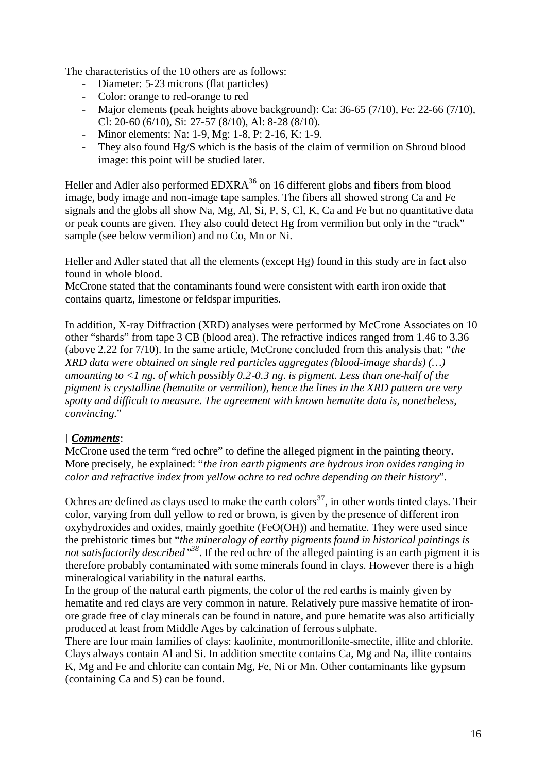The characteristics of the 10 others are as follows:

- Diameter: 5-23 microns (flat particles)
- Color: orange to red-orange to red
- Major elements (peak heights above background): Ca: 36-65 (7/10), Fe: 22-66 (7/10), Cl: 20-60 (6/10), Si: 27-57 (8/10), Al: 8-28 (8/10).
- Minor elements: Na: 1-9, Mg: 1-8, P: 2-16, K: 1-9.
- They also found Hg/S which is the basis of the claim of vermilion on Shroud blood image: this point will be studied later.

Heller and Adler also performed EDXRA<sup>36</sup> on 16 different globs and fibers from blood image, body image and non-image tape samples. The fibers all showed strong Ca and Fe signals and the globs all show Na, Mg, Al, Si, P, S, Cl, K, Ca and Fe but no quantitative data or peak counts are given. They also could detect Hg from vermilion but only in the "track" sample (see below vermilion) and no Co, Mn or Ni.

Heller and Adler stated that all the elements (except Hg) found in this study are in fact also found in whole blood.

McCrone stated that the contaminants found were consistent with earth iron oxide that contains quartz, limestone or feldspar impurities.

In addition, X-ray Diffraction (XRD) analyses were performed by McCrone Associates on 10 other "shards" from tape 3 CB (blood area). The refractive indices ranged from 1.46 to 3.36 (above 2.22 for 7/10). In the same article, McCrone concluded from this analysis that: "*the XRD data were obtained on single red particles aggregates (blood-image shards) (…) amounting to <1 ng. of which possibly 0.2-0.3 ng. is pigment. Less than one-half of the pigment is crystalline (hematite or vermilion), hence the lines in the XRD pattern are very spotty and difficult to measure. The agreement with known hematite data is, nonetheless, convincing.*"

#### [ *Comments*:

McCrone used the term "red ochre" to define the alleged pigment in the painting theory. More precisely, he explained: "*the iron earth pigments are hydrous iron oxides ranging in color and refractive index from yellow ochre to red ochre depending on their history*".

Ochres are defined as clays used to make the earth colors<sup>37</sup>, in other words tinted clays. Their color, varying from dull yellow to red or brown, is given by the presence of different iron oxyhydroxides and oxides, mainly goethite (FeO(OH)) and hematite. They were used since the prehistoric times but "*the mineralogy of earthy pigments found in historical paintings is not satisfactorily described" 38* . If the red ochre of the alleged painting is an earth pigment it is therefore probably contaminated with some minerals found in clays. However there is a high mineralogical variability in the natural earths.

In the group of the natural earth pigments, the color of the red earths is mainly given by hematite and red clays are very common in nature. Relatively pure massive hematite of ironore grade free of clay minerals can be found in nature, and pure hematite was also artificially produced at least from Middle Ages by calcination of ferrous sulphate.

There are four main families of clays: kaolinite, montmorillonite-smectite, illite and chlorite. Clays always contain Al and Si. In addition smectite contains Ca, Mg and Na, illite contains K, Mg and Fe and chlorite can contain Mg, Fe, Ni or Mn. Other contaminants like gypsum (containing Ca and S) can be found.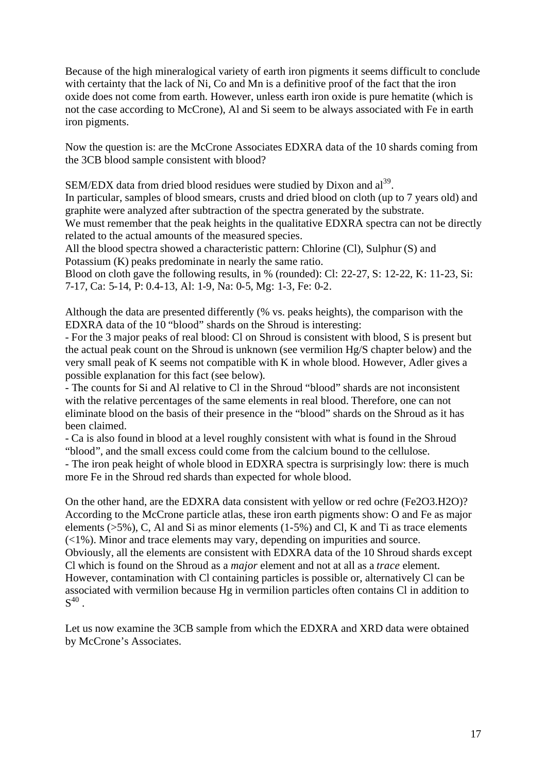Because of the high mineralogical variety of earth iron pigments it seems difficult to conclude with certainty that the lack of Ni, Co and Mn is a definitive proof of the fact that the iron oxide does not come from earth. However, unless earth iron oxide is pure hematite (which is not the case according to McCrone), Al and Si seem to be always associated with Fe in earth iron pigments.

Now the question is: are the McCrone Associates EDXRA data of the 10 shards coming from the 3CB blood sample consistent with blood?

SEM/EDX data from dried blood residues were studied by Dixon and  $al<sup>39</sup>$ .

In particular, samples of blood smears, crusts and dried blood on cloth (up to 7 years old) and graphite were analyzed after subtraction of the spectra generated by the substrate.

We must remember that the peak heights in the qualitative EDXRA spectra can not be directly related to the actual amounts of the measured species.

All the blood spectra showed a characteristic pattern: Chlorine (Cl), Sulphur (S) and Potassium (K) peaks predominate in nearly the same ratio.

Blood on cloth gave the following results, in % (rounded): Cl: 22-27, S: 12-22, K: 11-23, Si: 7-17, Ca: 5-14, P: 0.4-13, Al: 1-9, Na: 0-5, Mg: 1-3, Fe: 0-2.

Although the data are presented differently (% vs. peaks heights), the comparison with the EDXRA data of the 10 "blood" shards on the Shroud is interesting:

- For the 3 major peaks of real blood: Cl on Shroud is consistent with blood, S is present but the actual peak count on the Shroud is unknown (see vermilion Hg/S chapter below) and the very small peak of K seems not compatible with K in whole blood. However, Adler gives a possible explanation for this fact (see below).

- The counts for Si and Al relative to Cl in the Shroud "blood" shards are not inconsistent with the relative percentages of the same elements in real blood. Therefore, one can not eliminate blood on the basis of their presence in the "blood" shards on the Shroud as it has been claimed.

- Ca is also found in blood at a level roughly consistent with what is found in the Shroud "blood", and the small excess could come from the calcium bound to the cellulose.

- The iron peak height of whole blood in EDXRA spectra is surprisingly low: there is much more Fe in the Shroud red shards than expected for whole blood.

On the other hand, are the EDXRA data consistent with yellow or red ochre (Fe2O3.H2O)? According to the McCrone particle atlas, these iron earth pigments show: O and Fe as major elements ( $>5\%$ ), C, Al and Si as minor elements (1-5%) and Cl, K and Ti as trace elements (<1%). Minor and trace elements may vary, depending on impurities and source. Obviously, all the elements are consistent with EDXRA data of the 10 Shroud shards except Cl which is found on the Shroud as a *major* element and not at all as a *trace* element. However, contamination with Cl containing particles is possible or, alternatively Cl can be associated with vermilion because Hg in vermilion particles often contains Cl in addition to

 $\text{S}^{40}$  .

Let us now examine the 3CB sample from which the EDXRA and XRD data were obtained by McCrone's Associates.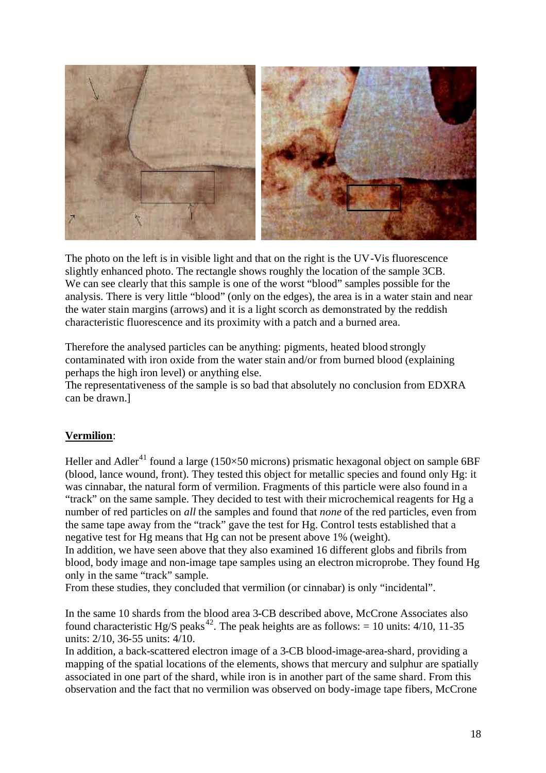

The photo on the left is in visible light and that on the right is the UV-Vis fluorescence slightly enhanced photo. The rectangle shows roughly the location of the sample 3CB. We can see clearly that this sample is one of the worst "blood" samples possible for the analysis. There is very little "blood" (only on the edges), the area is in a water stain and near the water stain margins (arrows) and it is a light scorch as demonstrated by the reddish characteristic fluorescence and its proximity with a patch and a burned area.

Therefore the analysed particles can be anything: pigments, heated blood strongly contaminated with iron oxide from the water stain and/or from burned blood (explaining perhaps the high iron level) or anything else.

The representativeness of the sample is so bad that absolutely no conclusion from EDXRA can be drawn.]

#### **Vermilion**:

Heller and Adler<sup>41</sup> found a large (150×50 microns) prismatic hexagonal object on sample 6BF (blood, lance wound, front). They tested this object for metallic species and found only Hg: it was cinnabar, the natural form of vermilion. Fragments of this particle were also found in a "track" on the same sample. They decided to test with their microchemical reagents for Hg a number of red particles on *all* the samples and found that *none* of the red particles, even from the same tape away from the "track" gave the test for Hg. Control tests established that a negative test for Hg means that Hg can not be present above 1% (weight).

In addition, we have seen above that they also examined 16 different globs and fibrils from blood, body image and non-image tape samples using an electron microprobe. They found Hg only in the same "track" sample.

From these studies, they concluded that vermilion (or cinnabar) is only "incidental".

In the same 10 shards from the blood area 3-CB described above, McCrone Associates also found characteristic Hg/S peaks<sup>42</sup>. The peak heights are as follows: = 10 units:  $4/10$ , 11-35 units: 2/10, 36-55 units: 4/10.

In addition, a back-scattered electron image of a 3-CB blood-image-area-shard, providing a mapping of the spatial locations of the elements, shows that mercury and sulphur are spatially associated in one part of the shard, while iron is in another part of the same shard. From this observation and the fact that no vermilion was observed on body-image tape fibers, McCrone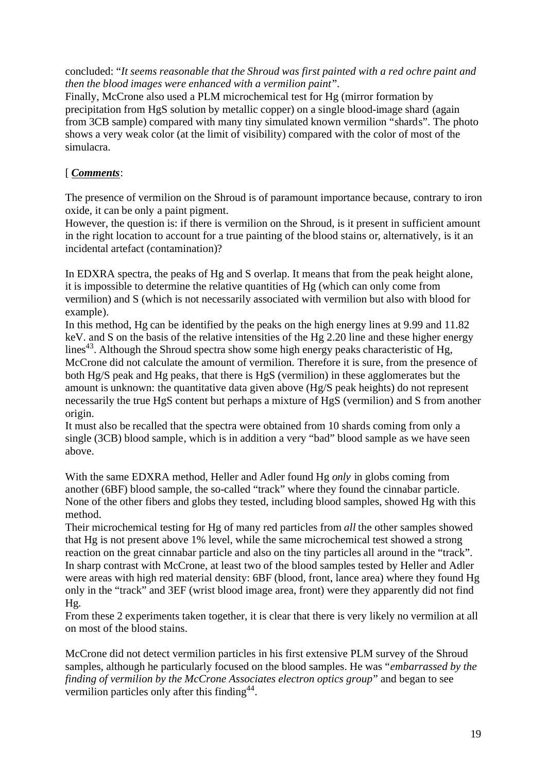concluded: "*It seems reasonable that the Shroud was first painted with a red ochre paint and then the blood images were enhanced with a vermilion paint*".

Finally, McCrone also used a PLM microchemical test for Hg (mirror formation by precipitation from HgS solution by metallic copper) on a single blood-image shard (again from 3CB sample) compared with many tiny simulated known vermilion "shards". The photo shows a very weak color (at the limit of visibility) compared with the color of most of the simulacra.

### [ *Comments*:

The presence of vermilion on the Shroud is of paramount importance because, contrary to iron oxide, it can be only a paint pigment.

However, the question is: if there is vermilion on the Shroud, is it present in sufficient amount in the right location to account for a true painting of the blood stains or, alternatively, is it an incidental artefact (contamination)?

In EDXRA spectra, the peaks of Hg and S overlap. It means that from the peak height alone, it is impossible to determine the relative quantities of Hg (which can only come from vermilion) and S (which is not necessarily associated with vermilion but also with blood for example).

In this method, Hg can be identified by the peaks on the high energy lines at 9.99 and 11.82 keV. and S on the basis of the relative intensities of the Hg 2.20 line and these higher energy lines<sup>43</sup>. Although the Shroud spectra show some high energy peaks characteristic of Hg, McCrone did not calculate the amount of vermilion. Therefore it is sure, from the presence of both Hg/S peak and Hg peaks, that there is HgS (vermilion) in these agglomerates but the amount is unknown: the quantitative data given above (Hg/S peak heights) do not represent necessarily the true HgS content but perhaps a mixture of HgS (vermilion) and S from another origin.

It must also be recalled that the spectra were obtained from 10 shards coming from only a single (3CB) blood sample, which is in addition a very "bad" blood sample as we have seen above.

With the same EDXRA method, Heller and Adler found Hg *only* in globs coming from another (6BF) blood sample, the so-called "track" where they found the cinnabar particle. None of the other fibers and globs they tested, including blood samples, showed Hg with this method.

Their microchemical testing for Hg of many red particles from *all* the other samples showed that Hg is not present above 1% level, while the same microchemical test showed a strong reaction on the great cinnabar particle and also on the tiny particles all around in the "track". In sharp contrast with McCrone, at least two of the blood samples tested by Heller and Adler were areas with high red material density: 6BF (blood, front, lance area) where they found Hg only in the "track" and 3EF (wrist blood image area, front) were they apparently did not find Hg.

From these 2 experiments taken together, it is clear that there is very likely no vermilion at all on most of the blood stains.

McCrone did not detect vermilion particles in his first extensive PLM survey of the Shroud samples, although he particularly focused on the blood samples. He was "*embarrassed by the finding of vermilion by the McCrone Associates electron optics group*" and began to see vermilion particles only after this finding $44$ .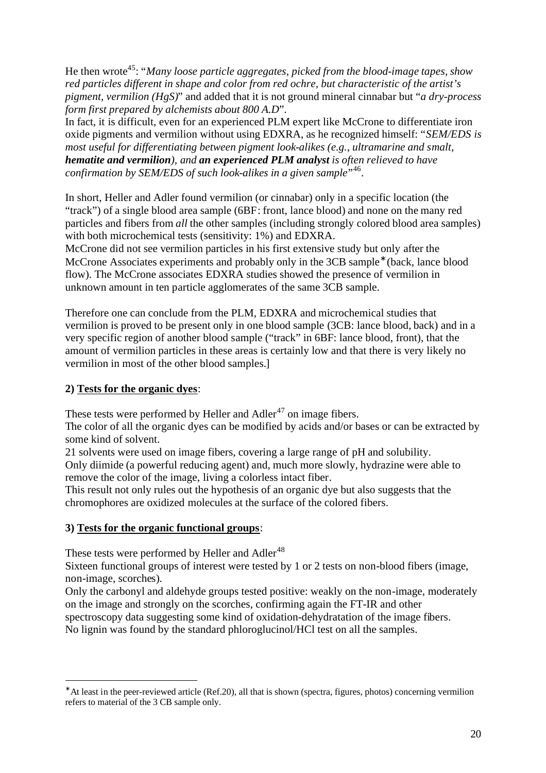He then wrote<sup>45</sup>: "*Many loose particle aggregates, picked from the blood-image tapes, show red particles different in shape and color from red ochre, but characteristic of the artist's pigment, vermilion (HgS)*" and added that it is not ground mineral cinnabar but "*a dry-process form first prepared by alchemists about 800 A.D*".

In fact, it is difficult, even for an experienced PLM expert like McCrone to differentiate iron oxide pigments and vermilion without using EDXRA, as he recognized himself: "*SEM/EDS is most useful for differentiating between pigment look-alikes (e.g., ultramarine and smalt, hematite and vermilion), and an experienced PLM analyst is often relieved to have*  confirmation by SEM/EDS of such look-alikes in a given sample<sup>",46</sup>.

In short, Heller and Adler found vermilion (or cinnabar) only in a specific location (the "track") of a single blood area sample (6BF: front, lance blood) and none on the many red particles and fibers from *all* the other samples (including strongly colored blood area samples) with both microchemical tests (sensitivity: 1%) and EDXRA.

McCrone did not see vermilion particles in his first extensive study but only after the McCrone Associates experiments and probably only in the 3CB sample<sup>\*</sup> (back, lance blood flow). The McCrone associates EDXRA studies showed the presence of vermilion in unknown amount in ten particle agglomerates of the same 3CB sample.

Therefore one can conclude from the PLM, EDXRA and microchemical studies that vermilion is proved to be present only in one blood sample (3CB: lance blood, back) and in a very specific region of another blood sample ("track" in 6BF: lance blood, front), that the amount of vermilion particles in these areas is certainly low and that there is very likely no vermilion in most of the other blood samples.]

### **2) Tests for the organic dyes**:

 $\overline{a}$ 

These tests were performed by Heller and Adler<sup>47</sup> on image fibers.

The color of all the organic dyes can be modified by acids and/or bases or can be extracted by some kind of solvent.

21 solvents were used on image fibers, covering a large range of pH and solubility.

Only diimide (a powerful reducing agent) and, much more slowly, hydrazine were able to remove the color of the image, living a colorless intact fiber.

This result not only rules out the hypothesis of an organic dye but also suggests that the chromophores are oxidized molecules at the surface of the colored fibers.

## **3) Tests for the organic functional groups**:

These tests were performed by Heller and Adler<sup>48</sup>

Sixteen functional groups of interest were tested by 1 or 2 tests on non-blood fibers (image, non-image, scorches).

Only the carbonyl and aldehyde groups tested positive: weakly on the non-image, moderately on the image and strongly on the scorches, confirming again the FT-IR and other spectroscopy data suggesting some kind of oxidation-dehydratation of the image fibers. No lignin was found by the standard phloroglucinol/HCl test on all the samples.

<sup>∗</sup> At least in the peer-reviewed article (Ref.20), all that is shown (spectra, figures, photos) concerning vermilion refers to material of the 3 CB sample only.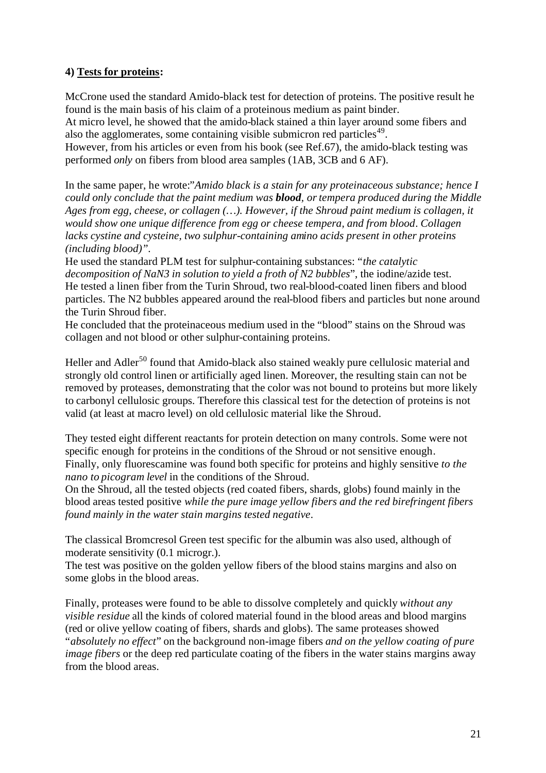#### **4) Tests for proteins:**

McCrone used the standard Amido-black test for detection of proteins. The positive result he found is the main basis of his claim of a proteinous medium as paint binder.

At micro level, he showed that the amido-black stained a thin layer around some fibers and also the agglomerates, some containing visible submicron red particles<sup>49</sup>.

However, from his articles or even from his book (see Ref.67), the amido-black testing was performed *only* on fibers from blood area samples (1AB, 3CB and 6 AF).

In the same paper, he wrote:"*Amido black is a stain for any proteinaceous substance; hence I could only conclude that the paint medium was blood, or tempera produced during the Middle Ages from egg, cheese, or collagen (…). However, if the Shroud paint medium is collagen, it would show one unique difference from egg or cheese tempera, and from blood*. *Collagen lacks cystine and cysteine, two sulphur-containing amino acids present in other proteins (including blood)".*

He used the standard PLM test for sulphur-containing substances: "*the catalytic decomposition of NaN3 in solution to yield a froth of N2 bubbles*", the iodine/azide test. He tested a linen fiber from the Turin Shroud, two real-blood-coated linen fibers and blood particles. The N2 bubbles appeared around the real-blood fibers and particles but none around the Turin Shroud fiber.

He concluded that the proteinaceous medium used in the "blood" stains on the Shroud was collagen and not blood or other sulphur-containing proteins.

Heller and Adler<sup>50</sup> found that Amido-black also stained weakly pure cellulosic material and strongly old control linen or artificially aged linen. Moreover, the resulting stain can not be removed by proteases, demonstrating that the color was not bound to proteins but more likely to carbonyl cellulosic groups. Therefore this classical test for the detection of proteins is not valid (at least at macro level) on old cellulosic material like the Shroud.

They tested eight different reactants for protein detection on many controls. Some were not specific enough for proteins in the conditions of the Shroud or not sensitive enough. Finally, only fluorescamine was found both specific for proteins and highly sensitive *to the nano to picogram level* in the conditions of the Shroud.

On the Shroud, all the tested objects (red coated fibers, shards, globs) found mainly in the blood areas tested positive *while the pure image yellow fibers and the red birefringent fibers found mainly in the water stain margins tested negative*.

The classical Bromcresol Green test specific for the albumin was also used, although of moderate sensitivity (0.1 microgr.).

The test was positive on the golden yellow fibers of the blood stains margins and also on some globs in the blood areas.

Finally, proteases were found to be able to dissolve completely and quickly *without any visible residue* all the kinds of colored material found in the blood areas and blood margins (red or olive yellow coating of fibers, shards and globs). The same proteases showed "*absolutely no effect*" on the background non-image fibers *and on the yellow coating of pure image fibers* or the deep red particulate coating of the fibers in the water stains margins away from the blood areas.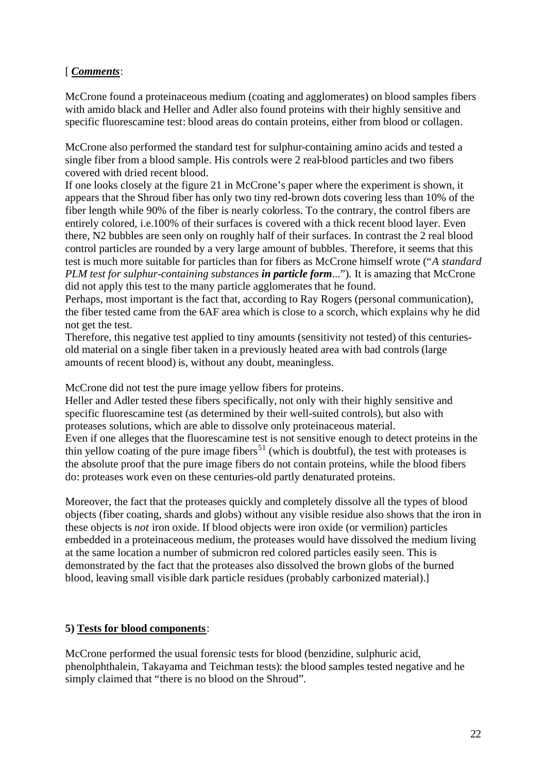### [ *Comments*:

McCrone found a proteinaceous medium (coating and agglomerates) on blood samples fibers with amido black and Heller and Adler also found proteins with their highly sensitive and specific fluorescamine test: blood areas do contain proteins, either from blood or collagen.

McCrone also performed the standard test for sulphur-containing amino acids and tested a single fiber from a blood sample. His controls were 2 real-blood particles and two fibers covered with dried recent blood.

If one looks closely at the figure 21 in McCrone's paper where the experiment is shown, it appears that the Shroud fiber has only two tiny red-brown dots covering less than 10% of the fiber length while 90% of the fiber is nearly colorless. To the contrary, the control fibers are entirely colored, i.e.100% of their surfaces is covered with a thick recent blood layer. Even there, N2 bubbles are seen only on roughly half of their surfaces. In contrast the 2 real blood control particles are rounded by a very large amount of bubbles. Therefore, it seems that this test is much more suitable for particles than for fibers as McCrone himself wrote ("*A standard PLM test for sulphur-containing substances in particle form...*"). It is amazing that McCrone did not apply this test to the many particle agglomerates that he found.

Perhaps, most important is the fact that, according to Ray Rogers (personal communication), the fiber tested came from the 6AF area which is close to a scorch, which explains why he did not get the test.

Therefore, this negative test applied to tiny amounts (sensitivity not tested) of this centuriesold material on a single fiber taken in a previously heated area with bad controls (large amounts of recent blood) is, without any doubt, meaningless.

McCrone did not test the pure image yellow fibers for proteins.

Heller and Adler tested these fibers specifically, not only with their highly sensitive and specific fluorescamine test (as determined by their well-suited controls), but also with proteases solutions, which are able to dissolve only proteinaceous material. Even if one alleges that the fluorescamine test is not sensitive enough to detect proteins in the thin yellow coating of the pure image fibers<sup>51</sup> (which is doubtful), the test with proteases is the absolute proof that the pure image fibers do not contain proteins, while the blood fibers

do: proteases work even on these centuries-old partly denaturated proteins.

Moreover, the fact that the proteases quickly and completely dissolve all the types of blood objects (fiber coating, shards and globs) without any visible residue also shows that the iron in these objects is *not* iron oxide. If blood objects were iron oxide (or vermilion) particles embedded in a proteinaceous medium, the proteases would have dissolved the medium living at the same location a number of submicron red colored particles easily seen. This is demonstrated by the fact that the proteases also dissolved the brown globs of the burned blood, leaving small visible dark particle residues (probably carbonized material).]

#### **5) Tests for blood components**:

McCrone performed the usual forensic tests for blood (benzidine, sulphuric acid, phenolphthalein, Takayama and Teichman tests): the blood samples tested negative and he simply claimed that "there is no blood on the Shroud".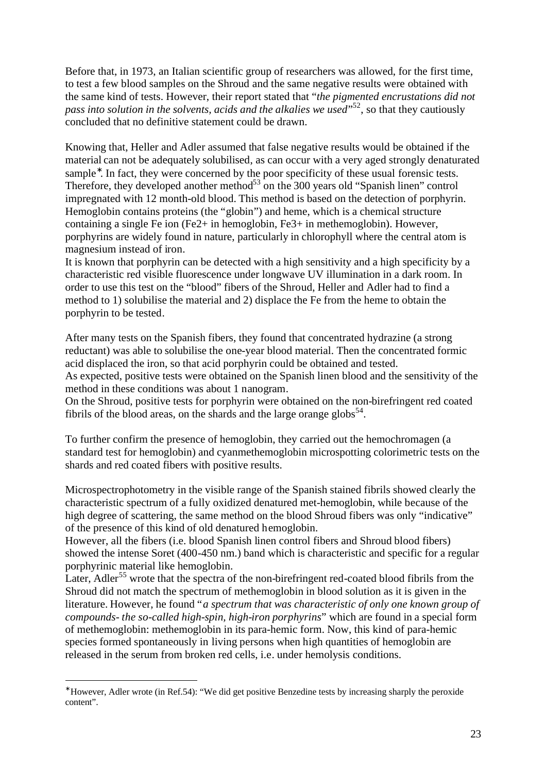Before that, in 1973, an Italian scientific group of researchers was allowed, for the first time, to test a few blood samples on the Shroud and the same negative results were obtained with the same kind of tests. However, their report stated that "*the pigmented encrustations did not pass into solution in the solvents, acids and the alkalies we used*" <sup>52</sup>, so that they cautiously concluded that no definitive statement could be drawn.

Knowing that, Heller and Adler assumed that false negative results would be obtained if the material can not be adequately solubilised, as can occur with a very aged strongly denaturated sample<sup>∗</sup>. In fact, they were concerned by the poor specificity of these usual forensic tests. Therefore, they developed another method<sup>53</sup> on the 300 years old "Spanish linen" control impregnated with 12 month-old blood. This method is based on the detection of porphyrin. Hemoglobin contains proteins (the "globin") and heme, which is a chemical structure containing a single Fe ion (Fe2+ in hemoglobin, Fe3+ in methemoglobin). However, porphyrins are widely found in nature, particularly in chlorophyll where the central atom is magnesium instead of iron.

It is known that porphyrin can be detected with a high sensitivity and a high specificity by a characteristic red visible fluorescence under longwave UV illumination in a dark room. In order to use this test on the "blood" fibers of the Shroud, Heller and Adler had to find a method to 1) solubilise the material and 2) displace the Fe from the heme to obtain the porphyrin to be tested.

After many tests on the Spanish fibers, they found that concentrated hydrazine (a strong reductant) was able to solubilise the one-year blood material. Then the concentrated formic acid displaced the iron, so that acid porphyrin could be obtained and tested.

As expected, positive tests were obtained on the Spanish linen blood and the sensitivity of the method in these conditions was about 1 nanogram.

On the Shroud, positive tests for porphyrin were obtained on the non-birefringent red coated fibrils of the blood areas, on the shards and the large orange globs<sup>54</sup>.

To further confirm the presence of hemoglobin, they carried out the hemochromagen (a standard test for hemoglobin) and cyanmethemoglobin microspotting colorimetric tests on the shards and red coated fibers with positive results.

Microspectrophotometry in the visible range of the Spanish stained fibrils showed clearly the characteristic spectrum of a fully oxidized denatured met-hemoglobin, while because of the high degree of scattering, the same method on the blood Shroud fibers was only "indicative" of the presence of this kind of old denatured hemoglobin.

However, all the fibers (i.e. blood Spanish linen control fibers and Shroud blood fibers) showed the intense Soret (400-450 nm.) band which is characteristic and specific for a regular porphyrinic material like hemoglobin.

Later, Adler<sup>55</sup> wrote that the spectra of the non-birefringent red-coated blood fibrils from the Shroud did not match the spectrum of methemoglobin in blood solution as it is given in the literature. However, he found "*a spectrum that was characteristic of only one known group of compounds- the so-called high-spin, high-iron porphyrins*" which are found in a special form of methemoglobin: methemoglobin in its para-hemic form. Now, this kind of para-hemic species formed spontaneously in living persons when high quantities of hemoglobin are released in the serum from broken red cells, i.e. under hemolysis conditions.

 $\overline{a}$ 

<sup>∗</sup> However, Adler wrote (in Ref.54): "We did get positive Benzedine tests by increasing sharply the peroxide content".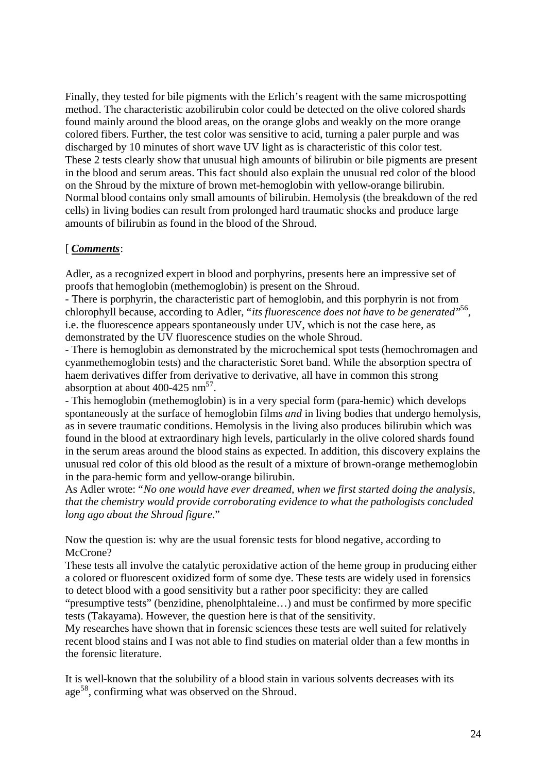Finally, they tested for bile pigments with the Erlich's reagent with the same microspotting method. The characteristic azobilirubin color could be detected on the olive colored shards found mainly around the blood areas, on the orange globs and weakly on the more orange colored fibers. Further, the test color was sensitive to acid, turning a paler purple and was discharged by 10 minutes of short wave UV light as is characteristic of this color test. These 2 tests clearly show that unusual high amounts of bilirubin or bile pigments are present in the blood and serum areas. This fact should also explain the unusual red color of the blood on the Shroud by the mixture of brown met-hemoglobin with yellow-orange bilirubin. Normal blood contains only small amounts of bilirubin. Hemolysis (the breakdown of the red cells) in living bodies can result from prolonged hard traumatic shocks and produce large amounts of bilirubin as found in the blood of the Shroud.

#### [ *Comments*:

Adler, as a recognized expert in blood and porphyrins, presents here an impressive set of proofs that hemoglobin (methemoglobin) is present on the Shroud.

- There is porphyrin, the characteristic part of hemoglobin, and this porphyrin is not from chlorophyll because, according to Adler, "*its fluorescence does not have to be generated*" 56 , i.e. the fluorescence appears spontaneously under UV, which is not the case here, as demonstrated by the UV fluorescence studies on the whole Shroud.

- There is hemoglobin as demonstrated by the microchemical spot tests (hemochromagen and cyanmethemoglobin tests) and the characteristic Soret band. While the absorption spectra of haem derivatives differ from derivative to derivative, all have in common this strong absorption at about  $400-425$  nm<sup>57</sup>.

- This hemoglobin (methemoglobin) is in a very special form (para-hemic) which develops spontaneously at the surface of hemoglobin films *and* in living bodies that undergo hemolysis, as in severe traumatic conditions. Hemolysis in the living also produces bilirubin which was found in the blood at extraordinary high levels, particularly in the olive colored shards found in the serum areas around the blood stains as expected. In addition, this discovery explains the unusual red color of this old blood as the result of a mixture of brown-orange methemoglobin in the para-hemic form and yellow-orange bilirubin.

As Adler wrote: "*No one would have ever dreamed, when we first started doing the analysis, that the chemistry would provide corroborating evidence to what the pathologists concluded long ago about the Shroud figure*."

Now the question is: why are the usual forensic tests for blood negative, according to McCrone?

These tests all involve the catalytic peroxidative action of the heme group in producing either a colored or fluorescent oxidized form of some dye. These tests are widely used in forensics to detect blood with a good sensitivity but a rather poor specificity: they are called "presumptive tests" (benzidine, phenolphtaleine…) and must be confirmed by more specific

tests (Takayama). However, the question here is that of the sensitivity.

My researches have shown that in forensic sciences these tests are well suited for relatively recent blood stains and I was not able to find studies on material older than a few months in the forensic literature.

It is well-known that the solubility of a blood stain in various solvents decreases with its age<sup>58</sup>, confirming what was observed on the Shroud.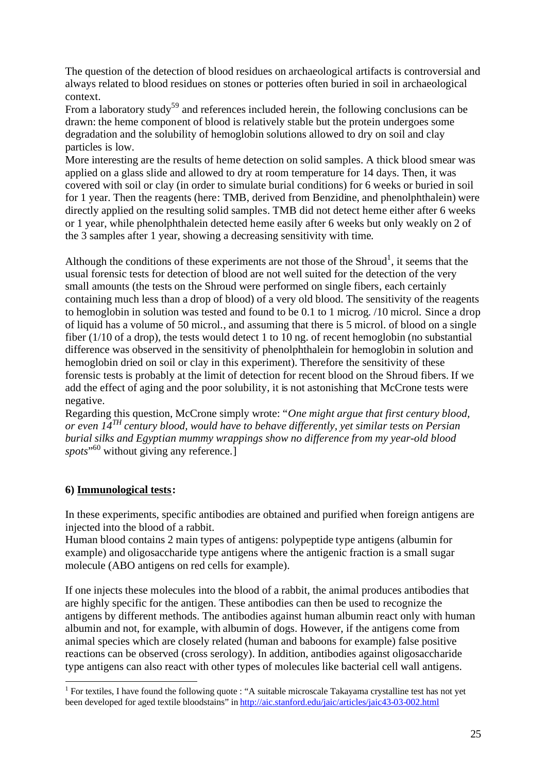The question of the detection of blood residues on archaeological artifacts is controversial and always related to blood residues on stones or potteries often buried in soil in archaeological context.

From a laboratory study<sup>59</sup> and references included herein, the following conclusions can be drawn: the heme component of blood is relatively stable but the protein undergoes some degradation and the solubility of hemoglobin solutions allowed to dry on soil and clay particles is low.

More interesting are the results of heme detection on solid samples. A thick blood smear was applied on a glass slide and allowed to dry at room temperature for 14 days. Then, it was covered with soil or clay (in order to simulate burial conditions) for 6 weeks or buried in soil for 1 year. Then the reagents (here: TMB, derived from Benzidine, and phenolphthalein) were directly applied on the resulting solid samples. TMB did not detect heme either after 6 weeks or 1 year, while phenolphthalein detected heme easily after 6 weeks but only weakly on 2 of the 3 samples after 1 year, showing a decreasing sensitivity with time.

Although the conditions of these experiments are not those of the Shroud<sup>1</sup>, it seems that the usual forensic tests for detection of blood are not well suited for the detection of the very small amounts (the tests on the Shroud were performed on single fibers, each certainly containing much less than a drop of blood) of a very old blood. The sensitivity of the reagents to hemoglobin in solution was tested and found to be 0.1 to 1 microg. /10 microl. Since a drop of liquid has a volume of 50 microl., and assuming that there is 5 microl. of blood on a single fiber (1/10 of a drop), the tests would detect 1 to 10 ng. of recent hemoglobin (no substantial difference was observed in the sensitivity of phenolphthalein for hemoglobin in solution and hemoglobin dried on soil or clay in this experiment). Therefore the sensitivity of these forensic tests is probably at the limit of detection for recent blood on the Shroud fibers. If we add the effect of aging and the poor solubility, it is not astonishing that McCrone tests were negative.

Regarding this question, McCrone simply wrote: "*One might argue that first century blood, or even 14TH century blood, would have to behave differently, yet similar tests on Persian burial silks and Egyptian mummy wrappings show no difference from my year-old blood*  spots<sup>"60</sup> without giving any reference.]

#### **6) Immunological tests:**

In these experiments, specific antibodies are obtained and purified when foreign antigens are injected into the blood of a rabbit.

Human blood contains 2 main types of antigens: polypeptide type antigens (albumin for example) and oligosaccharide type antigens where the antigenic fraction is a small sugar molecule (ABO antigens on red cells for example).

If one injects these molecules into the blood of a rabbit, the animal produces antibodies that are highly specific for the antigen. These antibodies can then be used to recognize the antigens by different methods. The antibodies against human albumin react only with human albumin and not, for example, with albumin of dogs. However, if the antigens come from animal species which are closely related (human and baboons for example) false positive reactions can be observed (cross serology). In addition, antibodies against oligosaccharide type antigens can also react with other types of molecules like bacterial cell wall antigens.

<sup>&</sup>lt;sup>1</sup> For textiles, I have found the following quote : "A suitable microscale Takayama crystalline test has not yet been developed for aged textile bloodstains" in http://aic.stanford.edu/jaic/articles/jaic43-03-002.html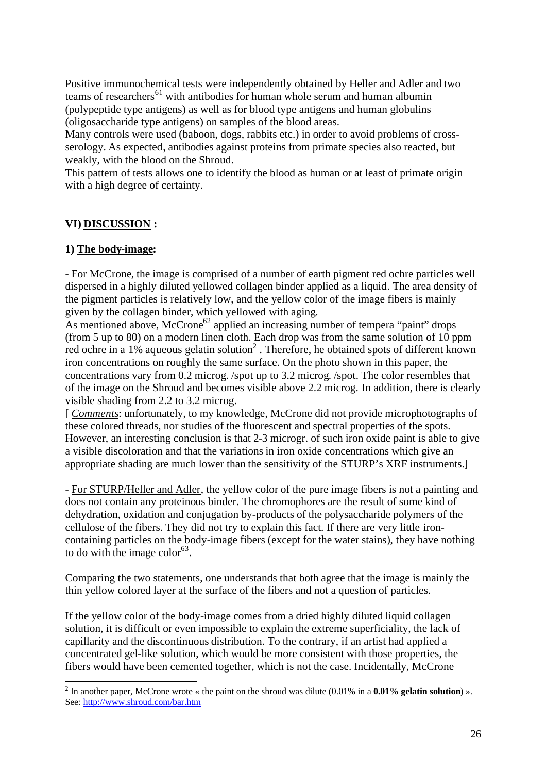Positive immunochemical tests were independently obtained by Heller and Adler and two teams of researchers<sup>61</sup> with antibodies for human whole serum and human albumin (polypeptide type antigens) as well as for blood type antigens and human globulins (oligosaccharide type antigens) on samples of the blood areas.

Many controls were used (baboon, dogs, rabbits etc.) in order to avoid problems of crossserology. As expected, antibodies against proteins from primate species also reacted, but weakly, with the blood on the Shroud.

This pattern of tests allows one to identify the blood as human or at least of primate origin with a high degree of certainty.

### **VI) DISCUSSION :**

### **1) The body-image:**

- For McCrone, the image is comprised of a number of earth pigment red ochre particles well dispersed in a highly diluted yellowed collagen binder applied as a liquid. The area density of the pigment particles is relatively low, and the yellow color of the image fibers is mainly given by the collagen binder, which yellowed with aging.

As mentioned above,  $McCrone<sup>62</sup>$  applied an increasing number of tempera "paint" drops (from 5 up to 80) on a modern linen cloth. Each drop was from the same solution of 10 ppm red ochre in a 1% aqueous gelatin solution<sup>2</sup>. Therefore, he obtained spots of different known iron concentrations on roughly the same surface. On the photo shown in this paper, the concentrations vary from 0.2 microg. /spot up to 3.2 microg. /spot. The color resembles that of the image on the Shroud and becomes visible above 2.2 microg. In addition, there is clearly visible shading from 2.2 to 3.2 microg.

[ *Comments*: unfortunately, to my knowledge, McCrone did not provide microphotographs of these colored threads, nor studies of the fluorescent and spectral properties of the spots. However, an interesting conclusion is that 2-3 microgr. of such iron oxide paint is able to give a visible discoloration and that the variations in iron oxide concentrations which give an appropriate shading are much lower than the sensitivity of the STURP's XRF instruments.]

- For STURP/Heller and Adler, the yellow color of the pure image fibers is not a painting and does not contain any proteinous binder. The chromophores are the result of some kind of dehydration, oxidation and conjugation by-products of the polysaccharide polymers of the cellulose of the fibers. They did not try to explain this fact. If there are very little ironcontaining particles on the body-image fibers (except for the water stains), they have nothing to do with the image color $^{63}$ .

Comparing the two statements, one understands that both agree that the image is mainly the thin yellow colored layer at the surface of the fibers and not a question of particles.

If the yellow color of the body-image comes from a dried highly diluted liquid collagen solution, it is difficult or even impossible to explain the extreme superficiality, the lack of capillarity and the discontinuous distribution. To the contrary, if an artist had applied a concentrated gel-like solution, which would be more consistent with those properties, the fibers would have been cemented together, which is not the case. Incidentally, McCrone

<sup>&</sup>lt;sup>2</sup> In another paper, McCrone wrote « the paint on the shroud was dilute (0.01% in a **0.01% gelatin solution**) ». See: http://www.shroud.com/bar.htm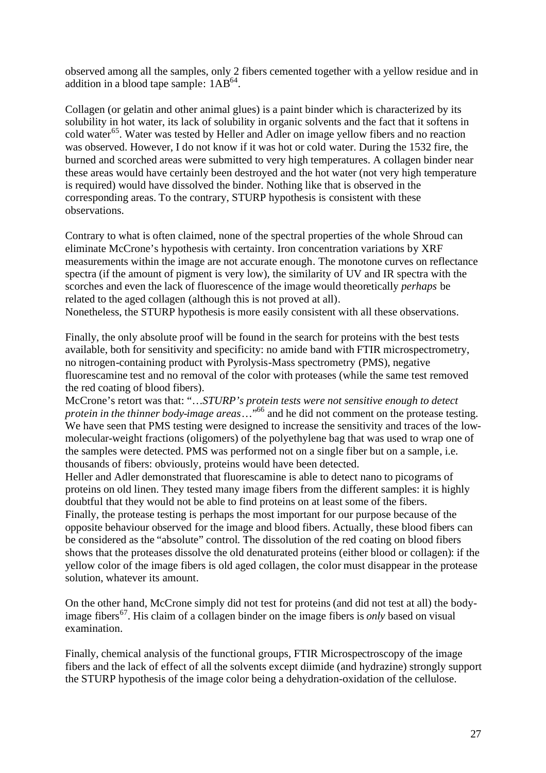observed among all the samples, only 2 fibers cemented together with a yellow residue and in addition in a blood tape sample:  $1AB^{64}$ .

Collagen (or gelatin and other animal glues) is a paint binder which is characterized by its solubility in hot water, its lack of solubility in organic solvents and the fact that it softens in cold water<sup>65</sup>. Water was tested by Heller and Adler on image yellow fibers and no reaction was observed. However, I do not know if it was hot or cold water. During the 1532 fire, the burned and scorched areas were submitted to very high temperatures. A collagen binder near these areas would have certainly been destroyed and the hot water (not very high temperature is required) would have dissolved the binder. Nothing like that is observed in the corresponding areas. To the contrary, STURP hypothesis is consistent with these observations.

Contrary to what is often claimed, none of the spectral properties of the whole Shroud can eliminate McCrone's hypothesis with certainty. Iron concentration variations by XRF measurements within the image are not accurate enough. The monotone curves on reflectance spectra (if the amount of pigment is very low), the similarity of UV and IR spectra with the scorches and even the lack of fluorescence of the image would theoretically *perhaps* be related to the aged collagen (although this is not proved at all).

Nonetheless, the STURP hypothesis is more easily consistent with all these observations.

Finally, the only absolute proof will be found in the search for proteins with the best tests available, both for sensitivity and specificity: no amide band with FTIR microspectrometry, no nitrogen-containing product with Pyrolysis-Mass spectrometry (PMS), negative fluorescamine test and no removal of the color with proteases (while the same test removed the red coating of blood fibers).

McCrone's retort was that: "…*STURP's protein tests were not sensitive enough to detect protein in the thinner body-image areas*...<sup>566</sup> and he did not comment on the protease testing. We have seen that PMS testing were designed to increase the sensitivity and traces of the lowmolecular-weight fractions (oligomers) of the polyethylene bag that was used to wrap one of the samples were detected. PMS was performed not on a single fiber but on a sample, i.e. thousands of fibers: obviously, proteins would have been detected.

Heller and Adler demonstrated that fluorescamine is able to detect nano to picograms of proteins on old linen. They tested many image fibers from the different samples: it is highly doubtful that they would not be able to find proteins on at least some of the fibers. Finally, the protease testing is perhaps the most important for our purpose because of the opposite behaviour observed for the image and blood fibers. Actually, these blood fibers can be considered as the "absolute" control. The dissolution of the red coating on blood fibers shows that the proteases dissolve the old denaturated proteins (either blood or collagen): if the yellow color of the image fibers is old aged collagen, the color must disappear in the protease solution, whatever its amount.

On the other hand, McCrone simply did not test for proteins (and did not test at all) the bodyimage fibers<sup>67</sup>. His claim of a collagen binder on the image fibers is *only* based on visual examination.

Finally, chemical analysis of the functional groups, FTIR Microspectroscopy of the image fibers and the lack of effect of all the solvents except diimide (and hydrazine) strongly support the STURP hypothesis of the image color being a dehydration-oxidation of the cellulose.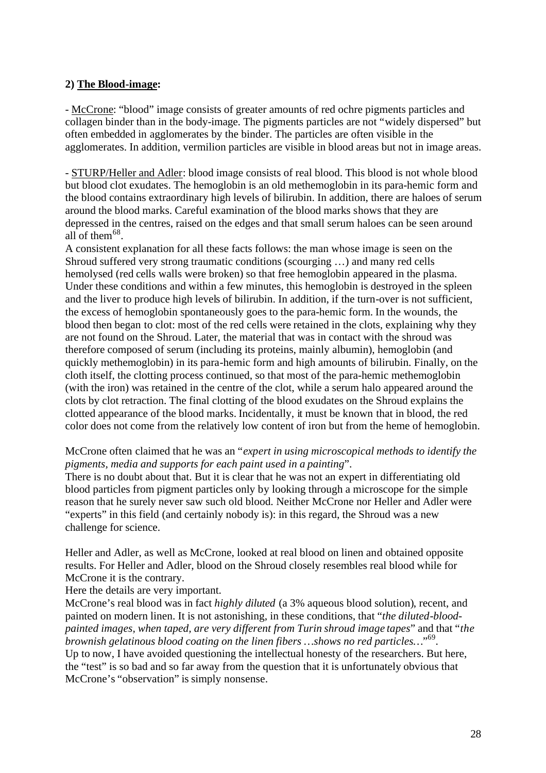### **2) The Blood-image:**

- McCrone: "blood" image consists of greater amounts of red ochre pigments particles and collagen binder than in the body-image. The pigments particles are not "widely dispersed" but often embedded in agglomerates by the binder. The particles are often visible in the agglomerates. In addition, vermilion particles are visible in blood areas but not in image areas.

- STURP/Heller and Adler: blood image consists of real blood. This blood is not whole blood but blood clot exudates. The hemoglobin is an old methemoglobin in its para-hemic form and the blood contains extraordinary high levels of bilirubin. In addition, there are haloes of serum around the blood marks. Careful examination of the blood marks shows that they are depressed in the centres, raised on the edges and that small serum haloes can be seen around all of them<sup>68</sup>.

A consistent explanation for all these facts follows: the man whose image is seen on the Shroud suffered very strong traumatic conditions (scourging …) and many red cells hemolysed (red cells walls were broken) so that free hemoglobin appeared in the plasma. Under these conditions and within a few minutes, this hemoglobin is destroyed in the spleen and the liver to produce high levels of bilirubin. In addition, if the turn-over is not sufficient, the excess of hemoglobin spontaneously goes to the para-hemic form. In the wounds, the blood then began to clot: most of the red cells were retained in the clots, explaining why they are not found on the Shroud. Later, the material that was in contact with the shroud was therefore composed of serum (including its proteins, mainly albumin), hemoglobin (and quickly methemoglobin) in its para-hemic form and high amounts of bilirubin. Finally, on the cloth itself, the clotting process continued, so that most of the para-hemic methemoglobin (with the iron) was retained in the centre of the clot, while a serum halo appeared around the clots by clot retraction. The final clotting of the blood exudates on the Shroud explains the clotted appearance of the blood marks. Incidentally, it must be known that in blood, the red color does not come from the relatively low content of iron but from the heme of hemoglobin.

#### McCrone often claimed that he was an "*expert in using microscopical methods to identify the pigments, media and supports for each paint used in a painting*".

There is no doubt about that. But it is clear that he was not an expert in differentiating old blood particles from pigment particles only by looking through a microscope for the simple reason that he surely never saw such old blood. Neither McCrone nor Heller and Adler were "experts" in this field (and certainly nobody is): in this regard, the Shroud was a new challenge for science.

Heller and Adler, as well as McCrone, looked at real blood on linen and obtained opposite results. For Heller and Adler, blood on the Shroud closely resembles real blood while for McCrone it is the contrary.

Here the details are very important.

McCrone's real blood was in fact *highly diluted* (a 3% aqueous blood solution), recent, and painted on modern linen. It is not astonishing, in these conditions, that "*the diluted-bloodpainted images, when taped, are very different from Turin shroud image tapes*" and that "*the brownish gelatinous blood coating on the linen fibers …shows no red particles…*" 69 . Up to now, I have avoided questioning the intellectual honesty of the researchers. But here, the "test" is so bad and so far away from the question that it is unfortunately obvious that McCrone's "observation" is simply nonsense.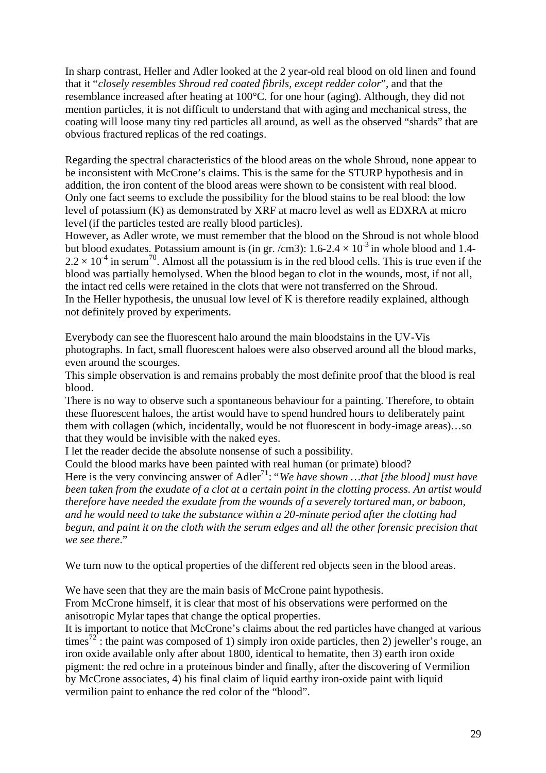In sharp contrast, Heller and Adler looked at the 2 year-old real blood on old linen and found that it "*closely resembles Shroud red coated fibrils, except redder color*", and that the resemblance increased after heating at 100°C. for one hour (aging). Although, they did not mention particles, it is not difficult to understand that with aging and mechanical stress, the coating will loose many tiny red particles all around, as well as the observed "shards" that are obvious fractured replicas of the red coatings.

Regarding the spectral characteristics of the blood areas on the whole Shroud, none appear to be inconsistent with McCrone's claims. This is the same for the STURP hypothesis and in addition, the iron content of the blood areas were shown to be consistent with real blood. Only one fact seems to exclude the possibility for the blood stains to be real blood: the low level of potassium (K) as demonstrated by XRF at macro level as well as EDXRA at micro level (if the particles tested are really blood particles).

However, as Adler wrote, we must remember that the blood on the Shroud is not whole blood but blood exudates. Potassium amount is (in gr. /cm3):  $1.6$ -2.4  $\times$  10<sup>-3</sup> in whole blood and 1.4- $2.2 \times 10^{-4}$  in serum<sup>70</sup>. Almost all the potassium is in the red blood cells. This is true even if the blood was partially hemolysed. When the blood began to clot in the wounds, most, if not all, the intact red cells were retained in the clots that were not transferred on the Shroud. In the Heller hypothesis, the unusual low level of K is therefore readily explained, although not definitely proved by experiments.

Everybody can see the fluorescent halo around the main bloodstains in the UV-Vis photographs. In fact, small fluorescent haloes were also observed around all the blood marks, even around the scourges.

This simple observation is and remains probably the most definite proof that the blood is real blood.

There is no way to observe such a spontaneous behaviour for a painting. Therefore, to obtain these fluorescent haloes, the artist would have to spend hundred hours to deliberately paint them with collagen (which, incidentally, would be not fluorescent in body-image areas)…so that they would be invisible with the naked eyes.

I let the reader decide the absolute nonsense of such a possibility.

Could the blood marks have been painted with real human (or primate) blood?

Here is the very convincing answer of Adler<sup>71</sup>: "*We have shown ...that [the blood] must have been taken from the exudate of a clot at a certain point in the clotting process. An artist would therefore have needed the exudate from the wounds of a severely tortured man, or baboon, and he would need to take the substance within a 20-minute period after the clotting had begun, and paint it on the cloth with the serum edges and all the other forensic precision that we see there*."

We turn now to the optical properties of the different red objects seen in the blood areas.

We have seen that they are the main basis of McCrone paint hypothesis.

From McCrone himself, it is clear that most of his observations were performed on the anisotropic Mylar tapes that change the optical properties.

It is important to notice that McCrone's claims about the red particles have changed at various times<sup>72</sup>: the paint was composed of 1) simply iron oxide particles, then 2) jeweller's rouge, an iron oxide available only after about 1800, identical to hematite, then 3) earth iron oxide pigment: the red ochre in a proteinous binder and finally, after the discovering of Vermilion by McCrone associates, 4) his final claim of liquid earthy iron-oxide paint with liquid vermilion paint to enhance the red color of the "blood".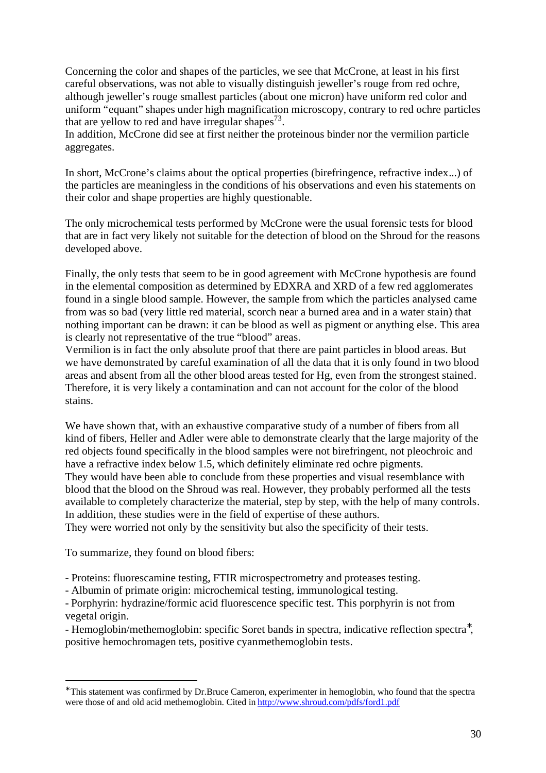Concerning the color and shapes of the particles, we see that McCrone, at least in his first careful observations, was not able to visually distinguish jeweller's rouge from red ochre, although jeweller's rouge smallest particles (about one micron) have uniform red color and uniform "equant" shapes under high magnification microscopy, contrary to red ochre particles that are yellow to red and have irregular shapes $^{73}$ .

In addition, McCrone did see at first neither the proteinous binder nor the vermilion particle aggregates.

In short, McCrone's claims about the optical properties (birefringence, refractive index...) of the particles are meaningless in the conditions of his observations and even his statements on their color and shape properties are highly questionable.

The only microchemical tests performed by McCrone were the usual forensic tests for blood that are in fact very likely not suitable for the detection of blood on the Shroud for the reasons developed above.

Finally, the only tests that seem to be in good agreement with McCrone hypothesis are found in the elemental composition as determined by EDXRA and XRD of a few red agglomerates found in a single blood sample. However, the sample from which the particles analysed came from was so bad (very little red material, scorch near a burned area and in a water stain) that nothing important can be drawn: it can be blood as well as pigment or anything else. This area is clearly not representative of the true "blood" areas.

Vermilion is in fact the only absolute proof that there are paint particles in blood areas. But we have demonstrated by careful examination of all the data that it is only found in two blood areas and absent from all the other blood areas tested for Hg, even from the strongest stained. Therefore, it is very likely a contamination and can not account for the color of the blood stains.

We have shown that, with an exhaustive comparative study of a number of fibers from all kind of fibers, Heller and Adler were able to demonstrate clearly that the large majority of the red objects found specifically in the blood samples were not birefringent, not pleochroic and have a refractive index below 1.5, which definitely eliminate red ochre pigments. They would have been able to conclude from these properties and visual resemblance with blood that the blood on the Shroud was real. However, they probably performed all the tests available to completely characterize the material, step by step, with the help of many controls. In addition, these studies were in the field of expertise of these authors. They were worried not only by the sensitivity but also the specificity of their tests.

To summarize, they found on blood fibers:

 $\overline{a}$ 

- Proteins: fluorescamine testing, FTIR microspectrometry and proteases testing.

- Albumin of primate origin: microchemical testing, immunological testing.

- Porphyrin: hydrazine/formic acid fluorescence specific test. This porphyrin is not from vegetal origin.

- Hemoglobin/methemoglobin: specific Soret bands in spectra, indicative reflection spectra<sup>\*</sup>, positive hemochromagen tets, positive cyanmethemoglobin tests.

<sup>∗</sup> This statement was confirmed by Dr.Bruce Cameron, experimenter in hemoglobin, who found that the spectra were those of and old acid methemoglobin. Cited in http://www.shroud.com/pdfs/ford1.pdf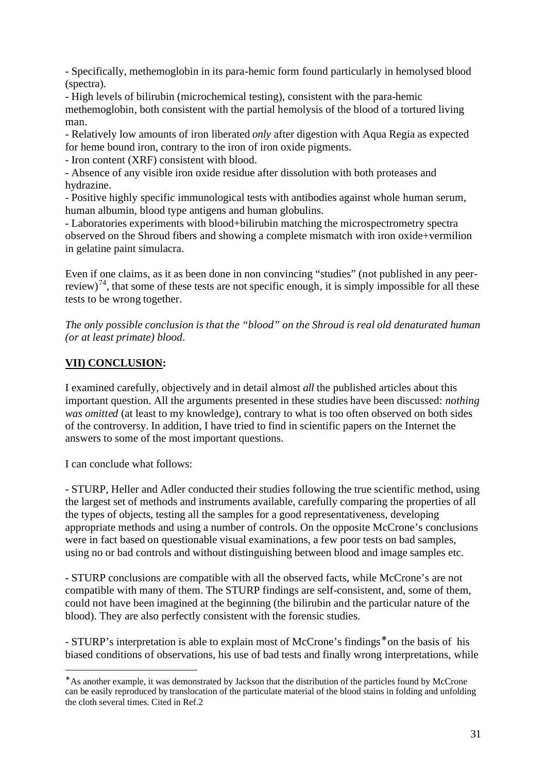- Specifically, methemoglobin in its para-hemic form found particularly in hemolysed blood (spectra).

- High levels of bilirubin (microchemical testing), consistent with the para-hemic methemoglobin, both consistent with the partial hemolysis of the blood of a tortured living man.

- Relatively low amounts of iron liberated *only* after digestion with Aqua Regia as expected for heme bound iron, contrary to the iron of iron oxide pigments.

- Iron content (XRF) consistent with blood.

- Absence of any visible iron oxide residue after dissolution with both proteases and hydrazine.

- Positive highly specific immunological tests with antibodies against whole human serum, human albumin, blood type antigens and human globulins.

- Laboratories experiments with blood+bilirubin matching the microspectrometry spectra observed on the Shroud fibers and showing a complete mismatch with iron oxide+vermilion in gelatine paint simulacra.

Even if one claims, as it as been done in non convincing "studies" (not published in any peerreview)<sup>74</sup>, that some of these tests are not specific enough, it is simply impossible for all these tests to be wrong together.

*The only possible conclusion is that the "blood" on the Shroud is real old denaturated human (or at least primate) blood*.

## **VII) CONCLUSION:**

I examined carefully, objectively and in detail almost *all* the published articles about this important question. All the arguments presented in these studies have been discussed: *nothing was omitted* (at least to my knowledge), contrary to what is too often observed on both sides of the controversy. In addition, I have tried to find in scientific papers on the Internet the answers to some of the most important questions.

I can conclude what follows:

 $\overline{a}$ 

- STURP, Heller and Adler conducted their studies following the true scientific method, using the largest set of methods and instruments available, carefully comparing the properties of all the types of objects, testing all the samples for a good representativeness, developing appropriate methods and using a number of controls. On the opposite McCrone's conclusions were in fact based on questionable visual examinations, a few poor tests on bad samples, using no or bad controls and without distinguishing between blood and image samples etc.

- STURP conclusions are compatible with all the observed facts, while McCrone's are not compatible with many of them. The STURP findings are self-consistent, and, some of them, could not have been imagined at the beginning (the bilirubin and the particular nature of the blood). They are also perfectly consistent with the forensic studies.

- STURP's interpretation is able to explain most of McCrone's findings<sup>\*</sup> on the basis of his biased conditions of observations, his use of bad tests and finally wrong interpretations, while

<sup>∗</sup> As another example, it was demonstrated by Jackson that the distribution of the particles found by McCrone can be easily reproduced by translocation of the particulate material of the blood stains in folding and unfolding the cloth several times. Cited in Ref.2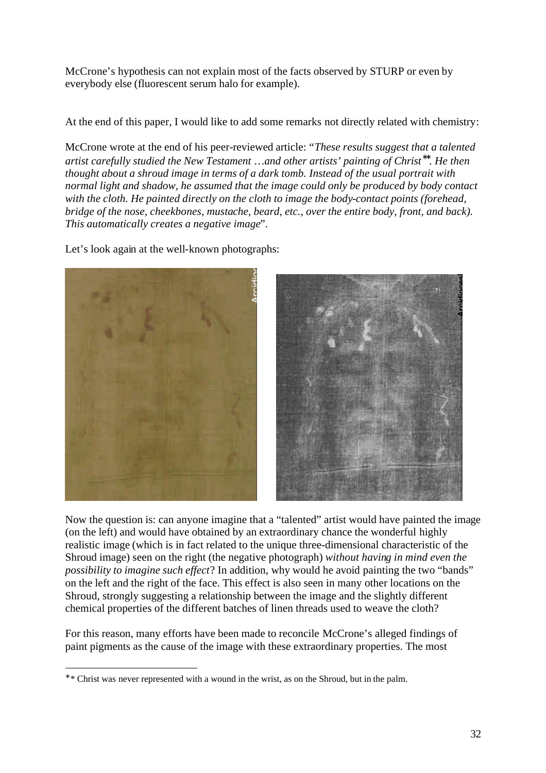McCrone's hypothesis can not explain most of the facts observed by STURP or even by everybody else (fluorescent serum halo for example).

At the end of this paper, I would like to add some remarks not directly related with chemistry:

McCrone wrote at the end of his peer-reviewed article: "*These results suggest that a talented artist carefully studied the New Testament …and other artists' painting of Christ\*\* . He then thought about a shroud image in terms of a dark tomb. Instead of the usual portrait with normal light and shadow, he assumed that the image could only be produced by body contact with the cloth. He painted directly on the cloth to image the body-contact points (forehead, bridge of the nose, cheekbones, mustache, beard, etc., over the entire body, front, and back). This automatically creates a negative image*".

Let's look again at the well-known photographs:



Now the question is: can anyone imagine that a "talented" artist would have painted the image (on the left) and would have obtained by an extraordinary chance the wonderful highly realistic image (which is in fact related to the unique three-dimensional characteristic of the Shroud image) seen on the right (the negative photograph) *without having in mind even the possibility to imagine such effect*? In addition, why would he avoid painting the two "bands" on the left and the right of the face. This effect is also seen in many other locations on the Shroud, strongly suggesting a relationship between the image and the slightly different chemical properties of the different batches of linen threads used to weave the cloth?

For this reason, many efforts have been made to reconcile McCrone's alleged findings of paint pigments as the cause of the image with these extraordinary properties. The most

l

<sup>∗</sup> \* Christ was never represented with a wound in the wrist, as on the Shroud, but in the palm.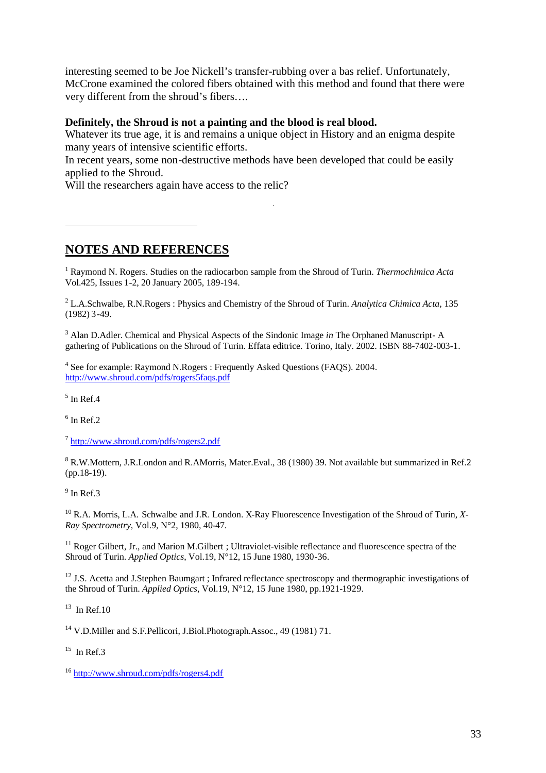interesting seemed to be Joe Nickell's transfer-rubbing over a bas relief. Unfortunately, McCrone examined the colored fibers obtained with this method and found that there were very different from the shroud's fibers….

### **Definitely, the Shroud is not a painting and the blood is real blood.**

Whatever its true age, it is and remains a unique object in History and an enigma despite many years of intensive scientific efforts.

In recent years, some non-destructive methods have been developed that could be easily applied to the Shroud.

Will the researchers again have access to the relic?

# **NOTES AND REFERENCES**

<sup>1</sup> Raymond N. Rogers. Studies on the radiocarbon sample from the Shroud of Turin. *Thermochimica Acta*  Vol.425, Issues 1-2, 20 January 2005, 189-194.

2 L.A.Schwalbe, R.N.Rogers : Physics and Chemistry of the Shroud of Turin. *Analytica Chimica Acta*, 135 (1982) 3-49.

3 Alan D.Adler. Chemical and Physical Aspects of the Sindonic Image *in* The Orphaned Manuscript- A gathering of Publications on the Shroud of Turin. Effata editrice. Torino, Italy. 2002. ISBN 88-7402-003-1.

<sup>4</sup> See for example: Raymond N.Rogers : Frequently Asked Questions (FAQS). 2004. http://www.shroud.com/pdfs/rogers5faqs.pdf

 $<sup>5</sup>$  In Ref.4</sup>

 $\overline{a}$ 

 $<sup>6</sup>$  [In Ref.2](http://www.shroud.com/pdfs/rogers5faqs.pdf)</sup>

<sup>7</sup> http://www.shroud.com/pdfs/rogers2.pdf

<sup>8</sup> R.W.Mottern, J.R.London and R.AMorris, Mater.Eval., 38 (1980) 39. Not available but summarized in Ref.2 (pp.18-19).

<sup>9</sup> [In Ref.3](http://www.shroud.com/pdfs/rogers2.pdf)

<sup>10</sup> R.A. Morris, L.A. Schwalbe and J.R. London. X-Ray Fluorescence Investigation of the Shroud of Turin, *X-Ray Spectrometry*, Vol.9, N°2, 1980, 40-47.

<sup>11</sup> Roger Gilbert, Jr., and Marion M.Gilbert ; Ultraviolet-visible reflectance and fluorescence spectra of the Shroud of Turin. *Applied Optics*, Vol.19, N°12, 15 June 1980, 1930-36.

<sup>12</sup> J.S. Acetta and J.Stephen Baumgart ; Infrared reflectance spectroscopy and thermographic investigations of the Shroud of Turin. *Applied Optics*, Vol.19, N°12, 15 June 1980, pp.1921-1929.

 $13$  In Ref.10

<sup>14</sup> V.D.Miller and S.F.Pellicori, J.Biol.Photograph.Assoc., 49 (1981) 71.

 $15$  In Ref.3

<sup>16</sup> http://www.shroud.com/pdfs/rogers4.pdf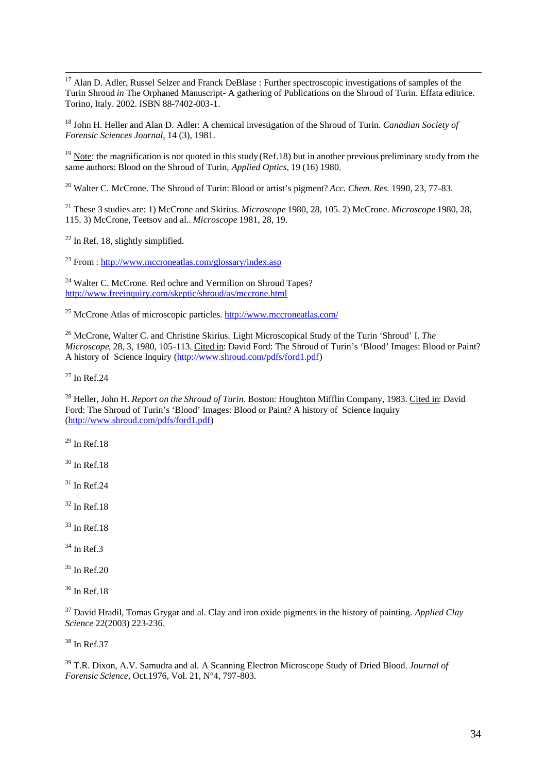<sup>17</sup> Alan D. Adler, Russel Selzer and Franck DeBlase : Further spectroscopic investigations of samples of the Turin Shroud *in* The Orphaned Manuscript- A gathering of Publications on the Shroud of Turin. Effata editrice. Torino, Italy. 2002. ISBN 88-7402-003-1.

<sup>18</sup> John H. Heller and Alan D. Adler: A chemical investigation of the Shroud of Turin. *Canadian Society of Forensic Sciences Journal*, 14 (3), 1981.

<sup>19</sup> Note: the magnification is not quoted in this study (Ref.18) but in another previous preliminary study from the same authors: Blood on the Shroud of Turin, *Applied Optics*, 19 (16) 1980.

<sup>20</sup> Walter C. McCrone. The Shroud of Turin: Blood or artist's pigment? *Acc. Chem. Res.* 1990, 23, 77-83.

<sup>21</sup> These 3 studies are: 1) McCrone and Skirius. *Microscope* 1980, 28, 105. 2) McCrone. *Microscope* 1980, 28, 115. 3) McCrone, Teetsov and al.. *Microscope* 1981, 28, 19.

 $22$  In Ref. 18, slightly simplified.

<sup>23</sup> From : http://www.mccroneatlas.com/glossary/index.asp

<sup>24</sup> Walter C. McCrone. Red ochre and Vermilion on Shroud Tapes? http://www.freeinquiry.com/skeptic/shroud/as/mccrone.html

<sup>25</sup> McCr[one Atlas of microscopic particles. http://www.mcc](http://www.mccroneatlas.com/glossary/index.asp)roneatlas.com/

<sup>26</sup> [McCrone, Walter C. and Christine Skirius. Light Microsco](http://www.freeinquiry.com/skeptic/shroud/as/mccrone.html)pical Study of the Turin 'Shroud' I. *The Microscope*, 28, 3, 1980, 105-113. Cited in: David Ford: The Shroud of Turin's 'Blood' Images: Blood or Paint? A history of Science Inquiry (http://www.[shroud.com/pdfs/ford1.pdf\)](http://www.mccroneatlas.com)

<sup>27</sup> In Ref.24

 $\overline{a}$ 

<sup>28</sup> Heller, John H. *Report on the Shroud of Turin*. Boston: Houghton Mifflin Company, 1983. Cited in: David Ford: The Shroud of Turin's '[Blood' Images: Blood or Paint? A histor](http://www.shroud.com/pdfs/ford1.pdf)y of Science Inquiry (http://www.shroud.com/pdfs/ford1.pdf)

 $29$  In Ref.18

<sup>30</sup> [In Ref.18](http://www.shroud.com/pdfs/ford1.pdf)

<sup>31</sup> In Ref.24

 $32$  In Ref.18

<sup>33</sup> In Ref.18

 $34$  In Ref.3

<sup>35</sup> In Ref.20

<sup>36</sup> In Ref.18

<sup>37</sup> David Hradil, Tomas Grygar and al. Clay and iron oxide pigments in the history of painting. *Applied Clay Science* 22(2003) 223-236.

<sup>38</sup> In Ref.37

<sup>39</sup> T.R. Dixon, A.V. Samudra and al. A Scanning Electron Microscope Study of Dried Blood. *Journal of Forensic Science*, Oct.1976, Vol. 21, N°4, 797-803.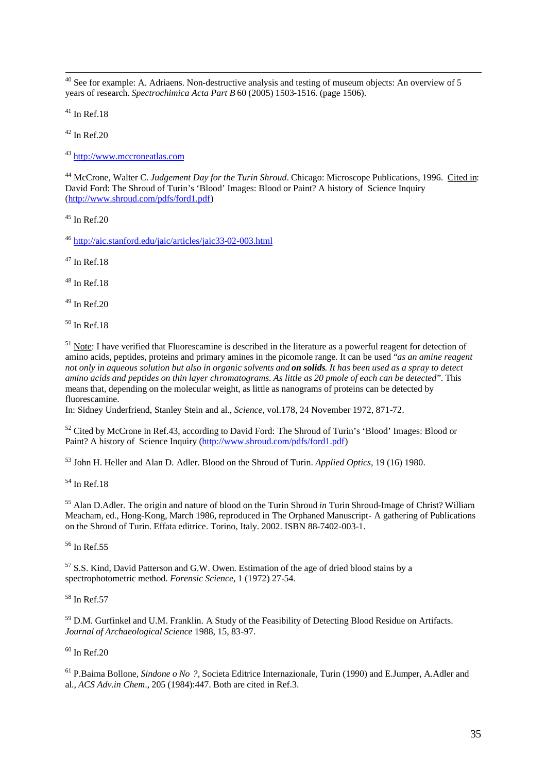$\overline{a}$ <sup>40</sup> See for example: A. Adriaens. Non-destructive analysis and testing of museum objects: An overview of 5 years of research. *Spectrochimica Acta Part B* 60 (2005) 1503-1516. (page 1506).

 $41$  In Ref.18

 $42$  In Ref.20

<sup>43</sup> http://www.mccroneatlas.com

<sup>44</sup> McCrone, Walter C. Judgement Day for the Turin Shroud. Chicago: Microscope Publications, 1996. Cited in: David Ford: The Shroud of Turin's 'Blood' Images: Blood or Paint? A history of Science Inquiry ([http://www.shroud.com/pdfs/for](http://www.mccroneatlas.com)d1.pdf)

<sup>45</sup> In Ref.20

<sup>46</sup> [http://aic.stanford.edu/jaic/articles/jaic](http://www.shroud.com/pdfs/ford1.pdf)33-02-003.html

 $47$  In Ref.18

<sup>48</sup> [In Ref.18](http://aic.stanford.edu/jaic/articles/jaic33-02-003.html)

<sup>49</sup> In Ref.20

<sup>50</sup> In Ref.18

 $<sup>51</sup>$  Note: I have verified that Fluorescamine is described in the literature as a powerful reagent for detection of</sup> amino acids, peptides, proteins and primary amines in the picomole range. It can be used "*as an amine reagent not only in aqueous solution but also in organic solvents and on solids. It has been used as a spray to detect amino acids and peptides on thin layer chromatograms. As little as 20 pmole of each can be detected*". This means that, depending on the molecular weight, as little as nanograms of proteins can be detected by fluorescamine.

In: Sidney Underfriend, Stanley Stein and al., *Science*, vol.178, 24 November 1972, 871-72.

<sup>52</sup> Cited by McCrone in Ref.43, according to David Ford: The Shroud of Turin's 'Blood' Images: Blood or Paint? A history of Science Inquiry (http://www.shroud.com/pdfs/ford1.pdf)

<sup>53</sup> John H. Heller and Alan D. Adler. Blood on the Shroud of Turin. *Applied Optics*, 19 (16) 1980.

<sup>54</sup> In Ref.18

<sup>55</sup> Alan D.Adler. The origin and nature of blood on the Turin Shroud *in* Turin Shroud-Image of Christ? William Meacham, ed., Hong-Kong, March 1986, reproduced in The Orphaned Manuscript- A gathering of Publications on the Shroud of Turin. Effata editrice. Torino, Italy. 2002. ISBN 88-7402-003-1.

<sup>56</sup> In Ref.55

 $57$  S.S. Kind, David Patterson and G.W. Owen. Estimation of the age of dried blood stains by a spectrophotometric method. *Forensic Science*, 1 (1972) 27-54.

<sup>58</sup> In Ref.57

<sup>59</sup> D.M. Gurfinkel and U.M. Franklin. A Study of the Feasibility of Detecting Blood Residue on Artifacts. *Journal of Archaeological Science* 1988, 15, 83-97.

 $60$  In Ref.20

<sup>61</sup> P.Baima Bollone, *Sindone o No ?*, Societa Editrice Internazionale, Turin (1990) and E.Jumper, A.Adler and al., *ACS Adv.in Chem*., 205 (1984):447. Both are cited in Ref.3.